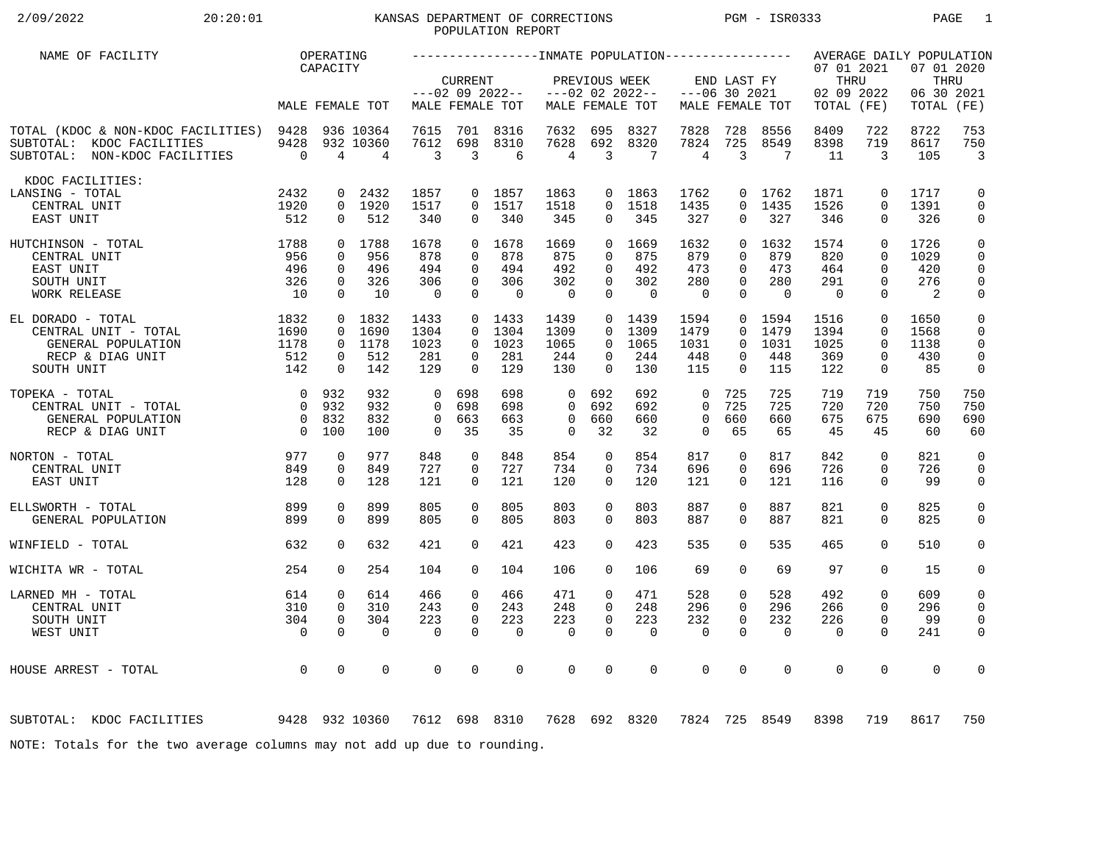# 2/09/2022 20:20:01 KANSAS DEPARTMENT OF CORRECTIONS PGM - ISR0333 PAGE 1 POPULATION REPORT

| NAME OF FACILITY                                                                                                             |                                                | OPERATING<br>CAPACITY                                 |                                      |                                              |                                                         |                                        |                                                       |                                                         |                                        |                                                     |                                                         |                                       | 07 01 2021                            |                                                                   | AVERAGE DAILY POPULATION<br>07 01 2020                   |                                           |
|------------------------------------------------------------------------------------------------------------------------------|------------------------------------------------|-------------------------------------------------------|--------------------------------------|----------------------------------------------|---------------------------------------------------------|----------------------------------------|-------------------------------------------------------|---------------------------------------------------------|----------------------------------------|-----------------------------------------------------|---------------------------------------------------------|---------------------------------------|---------------------------------------|-------------------------------------------------------------------|----------------------------------------------------------|-------------------------------------------|
|                                                                                                                              |                                                |                                                       | MALE FEMALE TOT                      |                                              | <b>CURRENT</b>                                          | $---02$ 09 2022--<br>MALE FEMALE TOT   |                                                       | PREVIOUS WEEK                                           | $---02$ 02 2022--<br>MALE FEMALE TOT   |                                                     | END LAST FY<br>$---06$ 30 2021                          | MALE FEMALE TOT                       | THRU<br>02 09 2022<br>TOTAL (FE)      |                                                                   | THRU<br>06 30 2021<br>TOTAL                              | (FE)                                      |
| TOTAL (KDOC & NON-KDOC FACILITIES) 9428<br>SUBTOTAL: KDOC FACILITIES<br>SUBTOTAL: NON-KDOC FACILITIES                        | 9428<br>$\overline{0}$                         | 4                                                     | 936 10364<br>932 10360<br>4          | 7615<br>7612<br>3                            | 701<br>698<br>3                                         | 8316<br>8310<br>6                      | 7632<br>7628<br>4                                     | 695<br>692<br>$\overline{3}$                            | 8327<br>8320<br>7                      | 7828<br>7824<br>$\overline{4}$                      | 728<br>725<br>3                                         | 8556<br>8549<br>7                     | 8409<br>8398<br>11                    | 722<br>719<br>3                                                   | 8722<br>8617<br>105                                      | 753<br>750<br>$\overline{3}$              |
| KDOC FACILITIES:<br>LANSING - TOTAL<br>CENTRAL UNIT<br>EAST UNIT                                                             | 2432<br>1920<br>512                            | 0<br>$\overline{0}$                                   | 2432<br>0 1920<br>512                | 1857<br>1517<br>340                          | 0                                                       | 0 1857<br>$0$ 1517<br>340              | 1863<br>1518<br>345                                   | $\overline{0}$                                          | 0 1863<br>0 1518<br>345                | 1762<br>1435<br>327                                 | $\Omega$<br>0                                           | 0 1762<br>1435<br>327                 | 1871<br>1526<br>346                   | $\mathbf 0$<br>$\Omega$<br>$\mathbf 0$                            | 1717<br>1391<br>326                                      | $\mathbf 0$<br>$\mathbf 0$<br>$\mathbf 0$ |
| 1788<br>HUTCHINSON - TOTAL<br>CENTRAL UNIT<br>EAST UNIT<br>SOUTH UNIT<br>WORK RELEASE                                        | 956<br>496<br>326<br>10                        | $\mathbf 0$<br>$\mathbf 0$<br>$\mathbf 0$<br>$\Omega$ | 0 1788<br>956<br>496<br>326<br>10    | 1678<br>878<br>494<br>306<br>$\overline{0}$  | $\Omega$<br>$\mathbf 0$<br>0<br>$\mathbf 0$<br>$\Omega$ | 1678<br>878<br>494<br>306<br>$\Omega$  | 1669<br>875<br>492<br>302<br>$\overline{\phantom{0}}$ | $\Omega$<br>0<br>$\mathbf 0$<br>$\mathbf 0$<br>$\Omega$ | 1669<br>875<br>492<br>302<br>$\Omega$  | 1632<br>879<br>473<br>280<br>$\overline{0}$         | $\Omega$<br>0<br>0<br>0<br>$\Omega$                     | 1632<br>879<br>473<br>280<br>$\Omega$ | 1574<br>820<br>464<br>291<br>$\Omega$ | $\Omega$<br>$\mathbf 0$<br>$\mathbf 0$<br>$\mathbf 0$<br>$\Omega$ | 1726<br>1029<br>420<br>276<br>$\overline{\phantom{0}}^2$ | $\mathbf 0$<br>0<br>0<br>$\mathbf 0$<br>0 |
| EL DORADO - TOTAL<br>CENTRAL UNIT - TOTAL<br>GENERAL POPULATION<br>RECP & DIAG UNIT<br>SOUTH UNIT                            | 1832<br>$\frac{1}{1690}$<br>1178<br>512<br>142 | $\mathbf 0$<br>$\overline{0}$<br>0<br>$\mathbf 0$     | 0 1832<br>1690<br>1178<br>512<br>142 | 1433<br>1304<br>1023<br>281<br>129           | $\Omega$<br>$\Omega$<br>0<br>$\Omega$                   | $0$ 1433<br>1304<br>1023<br>281<br>129 | 1439<br>1309<br>1065<br>244<br>130                    | $\Omega$<br>$\overline{0}$<br>0<br>$\Omega$             | $0$ 1439<br>1309<br>1065<br>244<br>130 | 1594<br>1479<br>1031<br>448<br>115                  | $\overline{0}$<br>$\Omega$<br>$\Omega$<br>0<br>$\Omega$ | 1594<br>1479<br>1031<br>448<br>115    | 1516<br>1394<br>1025<br>369<br>122    | $\mathbf 0$<br>$\mathbf 0$<br>$\mathbf 0$<br>0<br>$\mathbf 0$     | 1650<br>1568<br>1138<br>430<br>85                        | 0<br>0<br>$\mathbf 0$<br>$\mathbf 0$<br>0 |
| TOPEKA - TOTAL<br>CENTRAL UNIT - TOTAL<br>$\begin{matrix}0&832\\0&100\end{matrix}$<br>GENERAL POPULATION<br>RECP & DIAG UNIT | $0\quad 932$<br>$\overline{0}$                 | 932                                                   | 932<br>932<br>832<br>100             | $\Omega$<br>$\Omega$<br>$\Omega$<br>$\Omega$ | 698<br>698<br>663<br>35                                 | 698<br>698<br>663<br>35                | $\Omega$<br>$\Omega$<br>$\Omega$<br>$\Omega$          | 692<br>692<br>660<br>32                                 | 692<br>692<br>660<br>32                | $\mathsf{O}$<br>$\Omega$<br>$\mathbf 0$<br>$\Omega$ | 725<br>725<br>660<br>65                                 | 725<br>725<br>660<br>65               | 719<br>720<br>675<br>45               | 719<br>720<br>675<br>45                                           | 750<br>750<br>690<br>60                                  | 750<br>750<br>690<br>60                   |
| $\frac{977}{255}$<br>NORTON - TOTAL<br>CENTRAL UNIT<br>EAST UNIT                                                             | 849<br>128                                     | $\mathbf 0$<br>$\mathbf 0$<br>$\Omega$                | 977<br>849<br>128                    | 848<br>727<br>121                            | $\mathbf 0$<br>$\Omega$<br>$\Omega$                     | 848<br>727<br>121                      | 854<br>734<br>120                                     | $\mathbf 0$<br>$\Omega$<br>$\Omega$                     | 854<br>734<br>120                      | 817<br>696<br>121                                   | $\mathbf 0$<br>$\Omega$<br>$\Omega$                     | 817<br>696<br>121                     | 842<br>726<br>116                     | $\Omega$<br>$\mathbf 0$<br>$\Omega$                               | 821<br>726<br>99                                         | $\mathbf 0$<br>$\mathbf 0$<br>$\mathbf 0$ |
| ELLSWORTH - TOTAL<br>GENERAL POPULATION                                                                                      | 899<br>899                                     | $\mathbf 0$<br>$\Omega$                               | 899<br>899                           | 805<br>805                                   | $\Omega$<br>$\Omega$                                    | 805<br>805                             | 803<br>803                                            | $\Omega$<br>$\Omega$                                    | 803<br>803                             | 887<br>887                                          | 0<br>$\Omega$                                           | 887<br>887                            | 821<br>821                            | $\mathbf 0$<br>$\Omega$                                           | 825<br>825                                               | $\mathbf 0$<br>$\mathbf 0$                |
| WINFIELD - TOTAL                                                                                                             | 632                                            | $\Omega$                                              | 632                                  | 421                                          | $\Omega$                                                | 421                                    | 423                                                   | $\Omega$                                                | 423                                    | 535                                                 | $\Omega$                                                | 535                                   | 465                                   | $\Omega$                                                          | 510                                                      | 0                                         |
| WICHITA WR - TOTAL                                                                                                           | 254                                            | $\Omega$                                              | 254                                  | 104                                          | $\Omega$                                                | 104                                    | 106                                                   | $\Omega$                                                | 106                                    | 69                                                  | 0                                                       | 69                                    | 97                                    | $\mathbf 0$                                                       | 15                                                       | 0                                         |
| LARNED MH - TOTAL<br>CENTRAL UNIT<br>SOUTH UNIT<br>WEST UNIT                                                                 | 614<br>310<br>304<br>$\overline{0}$            | 0<br>$\mathbf 0$<br>$\mathbf 0$<br>$\Omega$           | 614<br>310<br>304<br>$\mathbf 0$     | 466<br>243<br>223<br>$\mathbf 0$             | 0<br>$\Omega$<br>$\mathbf 0$<br>$\Omega$                | 466<br>243<br>223<br>$\mathbf 0$       | 471<br>248<br>223<br>$\mathbf 0$                      | 0<br>$\Omega$<br>$\mathbf 0$<br>$\Omega$                | 471<br>248<br>223<br>$\mathbf 0$       | 528<br>296<br>232<br>$\mathbf 0$                    | 0<br>$\Omega$<br>0<br>$\Omega$                          | 528<br>296<br>232<br>$\mathbf 0$      | 492<br>266<br>226<br>$\mathbf 0$      | $\mathbf 0$<br>$\Omega$<br>$\mathbf 0$<br>$\Omega$                | 609<br>296<br>99<br>241                                  | 0<br>0<br>$\mathbf 0$<br>0                |
| HOUSE ARREST - TOTAL                                                                                                         | $\overline{0}$                                 | $\mathbf 0$                                           | 0                                    | 0                                            | 0                                                       | $\mathbf 0$                            | $\mathbf 0$                                           | $\mathbf 0$                                             | 0                                      | $\mathbf 0$                                         | 0                                                       | $\mathbf 0$                           | $\mathbf 0$                           | $\mathbf 0$                                                       | $\mathbf 0$                                              | 0                                         |
| 9428 932 10360<br>SUBTOTAL: KDOC FACILITIES                                                                                  |                                                |                                                       |                                      |                                              |                                                         | 7612 698 8310                          |                                                       |                                                         | 7628 692 8320                          | 7824                                                |                                                         | 725 8549                              | 8398                                  | 719                                                               | 8617                                                     | 750                                       |
| NOTE: Totals for the two average columns may not add up due to rounding.                                                     |                                                |                                                       |                                      |                                              |                                                         |                                        |                                                       |                                                         |                                        |                                                     |                                                         |                                       |                                       |                                                                   |                                                          |                                           |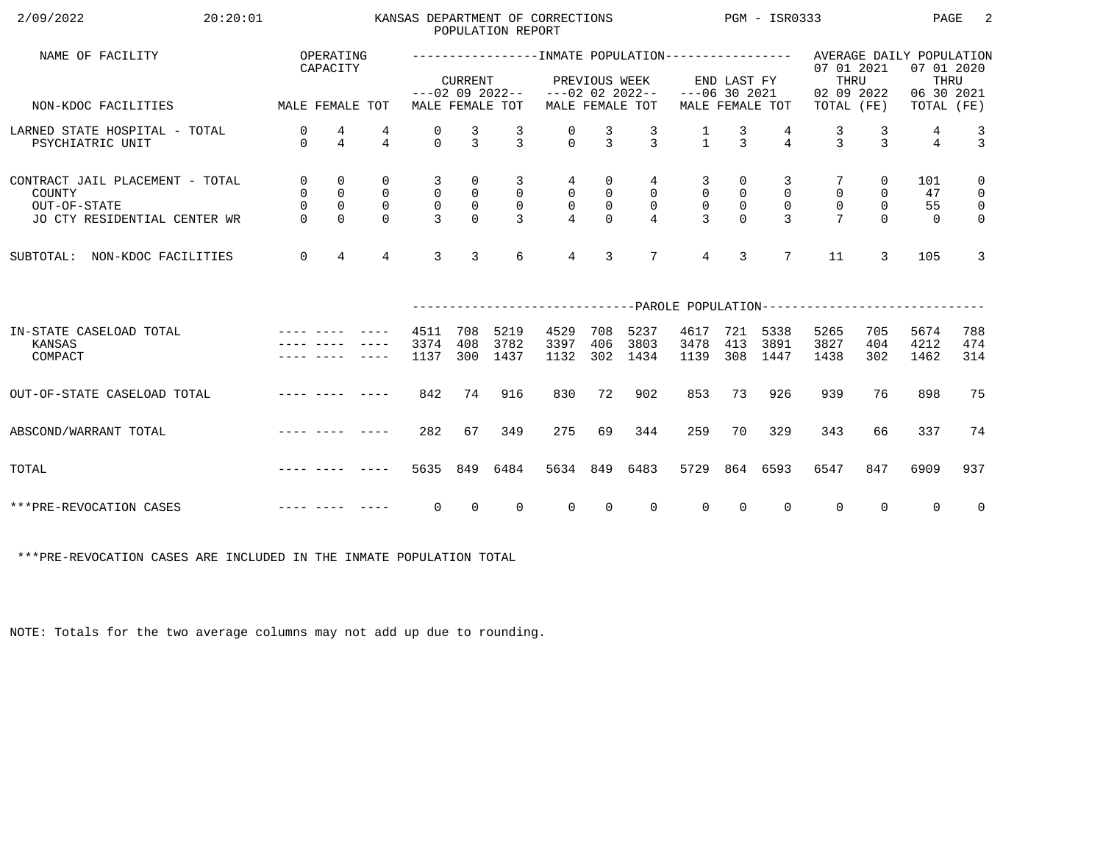| 2/09/2022<br>20:20:01                                                                     |                                                                                                                |                                                               |                                                          |                                                   |                                                             | POPULATION REPORT                                     | KANSAS DEPARTMENT OF CORRECTIONS     |                                                 |                                                         |                                                     |                                                              | $PGM - ISR0333$                                 |                                                                                                   |                                                            | PAGE                        | -2                                                                |
|-------------------------------------------------------------------------------------------|----------------------------------------------------------------------------------------------------------------|---------------------------------------------------------------|----------------------------------------------------------|---------------------------------------------------|-------------------------------------------------------------|-------------------------------------------------------|--------------------------------------|-------------------------------------------------|---------------------------------------------------------|-----------------------------------------------------|--------------------------------------------------------------|-------------------------------------------------|---------------------------------------------------------------------------------------------------|------------------------------------------------------------|-----------------------------|-------------------------------------------------------------------|
| NAME OF FACILITY                                                                          |                                                                                                                | OPERATING<br>CAPACITY                                         |                                                          |                                                   | <b>CURRENT</b>                                              |                                                       |                                      |                                                 | PREVIOUS WEEK                                           |                                                     | END LAST FY                                                  |                                                 | ------------------NMATE POPULATION---------------- AVERAGE DAILY POPULATION<br>07 01 2021<br>THRU |                                                            | 07 01 2020<br>THRU          |                                                                   |
| MALE FEMALE TOT<br>NON-KDOC FACILITIES                                                    |                                                                                                                |                                                               |                                                          |                                                   |                                                             | MALE FEMALE TOT                                       | $---02$ 09 2022-- $---02$ 02 2022--  |                                                 | MALE FEMALE TOT                                         | $---06$ 30 2021                                     |                                                              | MALE FEMALE TOT                                 | 02 09 2022<br>TOTAL (FE)                                                                          |                                                            | 06 30 2021<br>TOTAL (FE)    |                                                                   |
| LARNED STATE HOSPITAL - TOTAL<br>PSYCHIATRIC UNIT                                         | 0<br>$\Omega$                                                                                                  | 4<br>$\overline{4}$                                           | 4<br>$\overline{4}$                                      | 0<br>$\cap$                                       | $\frac{3}{3}$                                               | $\frac{3}{3}$                                         | $\begin{matrix} 0 \\ 0 \end{matrix}$ | $\frac{3}{3}$                                   | $\frac{3}{3}$                                           | $\frac{1}{1}$                                       | $\frac{3}{3}$                                                | $\overline{4}$                                  | $\frac{3}{3}$                                                                                     | $\frac{3}{3}$                                              | 4<br>$\overline{4}$         | $\frac{3}{3}$                                                     |
| CONTRACT JAIL PLACEMENT - TOTAL<br>COUNTY<br>OUT-OF-STATE<br>JO CTY RESIDENTIAL CENTER WR | $\overline{0}$<br>$\overline{0}$<br>$\mathsf{O}$<br>$\Omega$                                                   | $\mathbf 0$<br>$\mathsf 0$<br>$\mathsf{O}\xspace$<br>$\Omega$ | $\mathbf 0$<br>$\overline{0}$<br>$\mathbf 0$<br>$\Omega$ | 3<br>$\mathsf{O}$<br>$\mathsf{O}$<br>$\mathbf{3}$ | 0<br>$\begin{smallmatrix}0\\0\end{smallmatrix}$<br>$\Omega$ | 3<br>$\overline{0}$<br>$\overline{0}$<br>$\mathbf{R}$ | 4<br>$\overline{0}$<br>$\mathsf 0$   | 0<br>$\overline{0}$<br>$\mathsf{O}$<br>$\Omega$ | 4<br>$\overline{0}$<br>$\overline{0}$<br>$\overline{4}$ | 3<br>$\overline{0}$<br>$\mathsf{O}$<br>$\mathbf{z}$ | $\mathbf 0$<br>$\begin{smallmatrix}0\\0\\0\end{smallmatrix}$ | 3<br>$\mathbf 0$<br>$\mathbf 0$<br>$\mathbf{z}$ | $\mathsf{O}$<br>$\mathsf{O}$                                                                      | $\overline{0}$<br>$\mathsf{O}$<br>$\overline{0}$<br>$\cap$ | 101<br>47<br>55<br>$\Omega$ | $\mathbf 0$<br>$\overline{0}$<br>$\overline{0}$<br>$\overline{0}$ |
| NON-KDOC FACILITIES<br>SUBTOTAL:                                                          | $\mathbf 0$                                                                                                    | $\overline{4}$                                                | $\overline{4}$                                           | $\overline{3}$                                    | $\overline{3}$                                              | 6                                                     | $\overline{4}$                       | 3                                               | $7\overline{ }$                                         | $\overline{4}$                                      | $\overline{3}$                                               | $7\overline{ }$                                 | 11                                                                                                | 3                                                          | 105                         | $\overline{3}$                                                    |
|                                                                                           |                                                                                                                |                                                               |                                                          |                                                   |                                                             |                                                       |                                      |                                                 |                                                         |                                                     |                                                              |                                                 | ---------------------------PAROLE POPULATION--------------------------                            |                                                            |                             |                                                                   |
| IN-STATE CASELOAD TOTAL<br>KANSAS<br>COMPACT                                              |                                                                                                                |                                                               |                                                          | 4511<br>3374<br>1137                              | 708<br>408<br>300                                           | 5219<br>3782<br>1437                                  | 4529<br>3397<br>1132                 | 708<br>406<br>302                               | 5237<br>3803<br>1434                                    | 4617<br>3478<br>1139                                | 413<br>308                                                   | 721 5338<br>3891<br>1447                        | 5265<br>3827<br>1438                                                                              | 705<br>404<br>302                                          | 5674<br>4212<br>1462        | 788<br>474<br>314                                                 |
| OUT-OF-STATE CASELOAD TOTAL                                                               | and the second company of the second second the second second second second second second second second second |                                                               |                                                          | 842                                               | 74                                                          | 916                                                   | 830                                  | 72                                              | 902                                                     | 853                                                 | 73                                                           | 926                                             | 939                                                                                               | 76                                                         | 898                         | 75                                                                |
| ABSCOND/WARRANT TOTAL                                                                     |                                                                                                                |                                                               |                                                          | 282                                               | 67                                                          | 349                                                   | 275                                  | 69                                              | 344                                                     | 259                                                 | 70                                                           | 329                                             | 343                                                                                               | 66                                                         | 337                         | 74                                                                |
| ستجدد المتحد ستجدد المنادر المرادي<br>TOTAL                                               |                                                                                                                |                                                               |                                                          | 5635                                              |                                                             | 849 6484                                              | 5634                                 | 849                                             | 6483                                                    | 5729                                                |                                                              | 864 6593                                        | 6547                                                                                              | 847                                                        | 6909                        | 937                                                               |
| <u> 1980 - Jan Alexandria (</u><br>***PRE-REVOCATION CASES                                |                                                                                                                |                                                               |                                                          | $\overline{0}$                                    | $\overline{0}$                                              | $\overline{0}$                                        | $\overline{0}$                       | $\overline{0}$                                  | $\overline{0}$                                          | $\overline{0}$                                      | $\overline{0}$                                               | $\mathbf{0}$                                    | $\overline{0}$                                                                                    | $\overline{0}$                                             | $\overline{0}$              | $\overline{\phantom{0}}$                                          |

\*\*\*PRE-REVOCATION CASES ARE INCLUDED IN THE INMATE POPULATION TOTAL

NOTE: Totals for the two average columns may not add up due to rounding.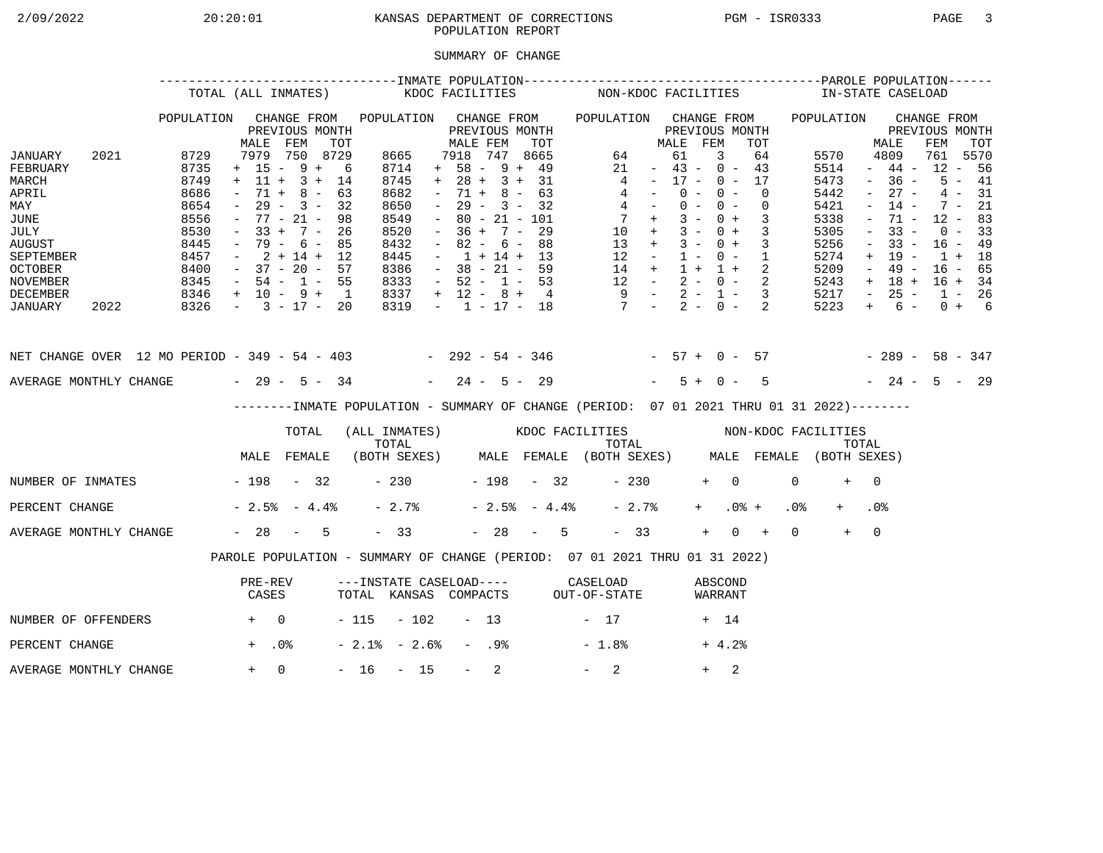## 2/09/2022 20:20:01 KANSAS DEPARTMENT OF CORRECTIONS PGM - ISR0333 PAGE 3POPULATION REPORT

## SUMMARY OF CHANGE

|                                                                                                                                        |      |                                                                                      | TOTAL (ALL INMATES)                                                                                                                                         |                                                 |     |                                                                                             | KDOC FACILITIES     |                                                                                                                                                                          |                  |                                                                    |     |                | NON-KDOC FACILITIES                                                                                                                            |                                                                                                 |                                  |                |            |                          |                            |                 | IN-STATE CASELOAD                                                                    |                                                                                                           |                                                                                                       |                                                                                       |                                              |  |
|----------------------------------------------------------------------------------------------------------------------------------------|------|--------------------------------------------------------------------------------------|-------------------------------------------------------------------------------------------------------------------------------------------------------------|-------------------------------------------------|-----|---------------------------------------------------------------------------------------------|---------------------|--------------------------------------------------------------------------------------------------------------------------------------------------------------------------|------------------|--------------------------------------------------------------------|-----|----------------|------------------------------------------------------------------------------------------------------------------------------------------------|-------------------------------------------------------------------------------------------------|----------------------------------|----------------|------------|--------------------------|----------------------------|-----------------|--------------------------------------------------------------------------------------|-----------------------------------------------------------------------------------------------------------|-------------------------------------------------------------------------------------------------------|---------------------------------------------------------------------------------------|----------------------------------------------|--|
|                                                                                                                                        |      | POPULATION                                                                           | MALE                                                                                                                                                        | CHANGE FROM<br>PREVIOUS MONTH<br>FEM            | TOT | POPULATION CHANGE FROM                                                                      |                     | MALE FEM                                                                                                                                                                 |                  | PREVIOUS MONTH                                                     | TOT |                | POPULATION CHANGE FROM                                                                                                                         |                                                                                                 | MALE FEM                         | PREVIOUS MONTH |            |                          | TOT                        |                 | POPULATION                                                                           |                                                                                                           | MALE                                                                                                  | CHANGE FROM<br>PREVIOUS MONTH<br>FEM                                                  | TOT                                          |  |
| JANUARY<br>FEBRUARY<br>MARCH<br>APRIL<br>MAY<br>JUNE<br>JULY<br><b>AUGUST</b><br>SEPTEMBER<br><b>OCTOBER</b><br>NOVEMBER               | 2021 | 8729<br>8735<br>8749<br>8686<br>8654<br>8556<br>8530<br>8445<br>8457<br>8400<br>8345 | $+ 15 - 9 + 6$<br>$+ 11 + 3 + 14$<br>$\sim$<br>$ \,$<br>$-77 - 21 -$<br>$-33 + 7 - 26$<br>$-79 - 6 - 85$<br>$-2+14+12$<br>$-37 - 20 - 57$<br>$-54 - 1 - 55$ | 7979 750 8729<br>$71 + 8 - 63$<br>$29 - 3 - 32$ | 98  | 8665<br>8714<br>8745<br>8682<br>8650<br>8549<br>8520<br>8432<br>8445<br>8386<br>8333        |                     | 7918 747 8665<br>$+ 58 - 9 + 49$<br>$+ 28 + 3 + 31$<br>$\sim$<br>$\sim$ $-$<br>$\sim$<br>$-36 + 7 - 29$<br>$\sim$<br>$-1 + 14 + 13$<br>$-38 - 21 - 59$<br>$-52 - 1 - 53$ |                  | $71 + 8 - 63$<br>$29 - 3 - 32$<br>$80 - 21 - 101$<br>$82 - 6 - 88$ |     |                | $\overline{4}$<br>$\begin{array}{ccccccccc} 14 & + & 1 & + & 1 & + & 2 \\ 12 & - & 2 & - & 0 & - & 2 \\ 9 & - & 2 & - & 1 & - & 3 \end{array}$ | 64<br>21<br>$4 -$<br>$4 -$<br>$7 +$<br>$10 + 3 - 0 + 3$<br>$13 + 3 - 0 + 3$<br>$12 - 1 - 0 - 1$ | $-43 - 0 - 43$<br>$-17 - 0 - 17$ | 61<br>$0 -$    | 3<br>$0 -$ | $0 - 0 -$<br>$3 - 0 + 3$ | 64<br>$\Omega$<br>$\Omega$ |                 | 5570<br>5514<br>5473<br>5442<br>5421<br>5338<br>5305<br>5256<br>5274<br>5209<br>5243 | $\sim$<br>$\sim$<br>$\overline{\phantom{a}}$<br>$\equiv$<br>$\overline{\phantom{a}}$<br>$+$<br>$\sim$ $-$ | 4809<br>$-44-$<br>$-36 -$<br>$27 -$<br>$14 -$<br>71 -<br>$33 -$<br>$33 -$<br>19 -<br>49 -<br>$+ 18 +$ | 761 5570<br>$12 - 56$<br>$12 - 83$<br>$16 - 49$<br>$1 + 18$<br>$16 - 65$<br>$16 + 34$ | $5 - 41$<br>$4 - 31$<br>$7 - 21$<br>$0 - 33$ |  |
| DECEMBER<br>JANUARY                                                                                                                    | 2022 | $8346 + 10 - 9 + 1$<br>$8326 - 3 - 17 - 20$                                          |                                                                                                                                                             |                                                 |     | 8337<br>8319                                                                                |                     | $+ 12 - 8 + 4$                                                                                                                                                           |                  |                                                                    |     |                | $-1$ $-17$ $-18$ $7$ $-2$ $-0$ $-2$                                                                                                            |                                                                                                 |                                  |                |            |                          |                            |                 | 5217<br>5223                                                                         | $\sim$ $-$<br>$+$                                                                                         | $25 -$<br>$6 -$                                                                                       | $1 - 26$                                                                              | $0 + 6$                                      |  |
| NET CHANGE OVER 12 MO PERIOD - 349 - 54 - 403 - 292 - 54 - 346 - 57 + 0 - 57 - 289 - 58 - 347<br>AVERAGE MONTHLY CHANGE $-29 - 5 - 34$ |      |                                                                                      |                                                                                                                                                             |                                                 |     |                                                                                             |                     | $-24 - 5 - 29$                                                                                                                                                           |                  |                                                                    |     |                |                                                                                                                                                |                                                                                                 |                                  | $5 + 0 -$      |            |                          | $5^{\circ}$                |                 | $-24 - 5 - 29$                                                                       |                                                                                                           |                                                                                                       |                                                                                       |                                              |  |
|                                                                                                                                        |      |                                                                                      |                                                                                                                                                             |                                                 |     | --------INMATE POPULATION - SUMMARY OF CHANGE (PERIOD: 07 01 2021 THRU 01 31 2022)--------  |                     |                                                                                                                                                                          |                  |                                                                    |     |                |                                                                                                                                                |                                                                                                 |                                  |                |            |                          |                            |                 |                                                                                      |                                                                                                           |                                                                                                       |                                                                                       |                                              |  |
|                                                                                                                                        |      |                                                                                      |                                                                                                                                                             | TOTAL                                           |     | (ALL INMATES) WOOC FACILITIES NON-KDOC FACILITIES                                           |                     |                                                                                                                                                                          |                  |                                                                    |     |                |                                                                                                                                                |                                                                                                 |                                  |                |            |                          |                            |                 |                                                                                      |                                                                                                           |                                                                                                       |                                                                                       |                                              |  |
|                                                                                                                                        |      |                                                                                      | MALE FEMALE                                                                                                                                                 |                                                 |     | TOTAL TOTAL TOTAL TOTAL TOTAL TOTAL TOTAL TOTAL TOTAL (BOTH SEXES) MALE FEMALE (BOTH SEXES) |                     |                                                                                                                                                                          |                  |                                                                    |     |                |                                                                                                                                                |                                                                                                 |                                  |                |            |                          |                            |                 |                                                                                      |                                                                                                           |                                                                                                       |                                                                                       |                                              |  |
| NUMBER OF INMATES - 198 - 32                                                                                                           |      |                                                                                      |                                                                                                                                                             |                                                 |     |                                                                                             | $-230$ $-198$ $-32$ |                                                                                                                                                                          |                  |                                                                    |     |                |                                                                                                                                                | $-230$                                                                                          |                                  |                | $+ 0$      |                          |                            | $\Omega$        | $+$                                                                                  | $\bigcap$                                                                                                 |                                                                                                       |                                                                                       |                                              |  |
| PERCENT CHANGE                                                                                                                         |      |                                                                                      | $-2.5$ $-4.4$ $-$                                                                                                                                           |                                                 |     | $-2.7%$                                                                                     |                     |                                                                                                                                                                          |                  |                                                                    |     | $-2.5% - 4.4%$ |                                                                                                                                                | $-2.7%$                                                                                         |                                  |                | $+$ $-$    | $.0%$ +                  |                            | .0 <sub>8</sub> |                                                                                      | .0 <sub>8</sub>                                                                                           |                                                                                                       |                                                                                       |                                              |  |
| AVERAGE MONTHLY CHANGE                                                                                                                 |      |                                                                                      | $-28 - 5$                                                                                                                                                   |                                                 |     | $-33$                                                                                       |                     |                                                                                                                                                                          |                  |                                                                    |     | $-28 - 5$      |                                                                                                                                                | $-33$                                                                                           |                                  |                | $+$        | $0 +$                    |                            | $\Omega$        | $+$                                                                                  | $\overline{0}$                                                                                            |                                                                                                       |                                                                                       |                                              |  |
|                                                                                                                                        |      |                                                                                      | PAROLE POPULATION - SUMMARY OF CHANGE (PERIOD: 07 01 2021 THRU 01 31 2022)                                                                                  |                                                 |     |                                                                                             |                     |                                                                                                                                                                          |                  |                                                                    |     |                |                                                                                                                                                |                                                                                                 |                                  |                |            |                          |                            |                 |                                                                                      |                                                                                                           |                                                                                                       |                                                                                       |                                              |  |
|                                                                                                                                        |      |                                                                                      | PRE-REV<br>CASES                                                                                                                                            |                                                 |     | ---INSTATE CASELOAD---- CASELOAD<br>TOTAL KANSAS COMPACTS OUT-OF-STATE                      |                     |                                                                                                                                                                          |                  |                                                                    |     |                |                                                                                                                                                |                                                                                                 |                                  |                |            | ABSCOND<br>WARRANT       |                            |                 |                                                                                      |                                                                                                           |                                                                                                       |                                                                                       |                                              |  |
| NUMBER OF OFFENDERS                                                                                                                    |      | $+$ 0                                                                                |                                                                                                                                                             |                                                 |     | $-115 - 102 - 13$                                                                           |                     |                                                                                                                                                                          |                  |                                                                    |     |                | $-17$                                                                                                                                          |                                                                                                 |                                  |                | + 14       |                          |                            |                 |                                                                                      |                                                                                                           |                                                                                                       |                                                                                       |                                              |  |
| PERCENT CHANGE                                                                                                                         |      |                                                                                      | $+$ .0%                                                                                                                                                     |                                                 |     | $-2.1$ % $-2.6$ %                                                                           |                     |                                                                                                                                                                          | - .98            |                                                                    |     |                | $-1.8%$                                                                                                                                        |                                                                                                 |                                  |                |            | $+4.2%$                  |                            |                 |                                                                                      |                                                                                                           |                                                                                                       |                                                                                       |                                              |  |
| AVERAGE MONTHLY CHANGE                                                                                                                 |      |                                                                                      | $+ 0$                                                                                                                                                       |                                                 |     | $-16 - 15$                                                                                  |                     |                                                                                                                                                                          | $\sim$ 100 $\mu$ | 2                                                                  |     |                | $-2$                                                                                                                                           |                                                                                                 |                                  |                | $+$        | 2                        |                            |                 |                                                                                      |                                                                                                           |                                                                                                       |                                                                                       |                                              |  |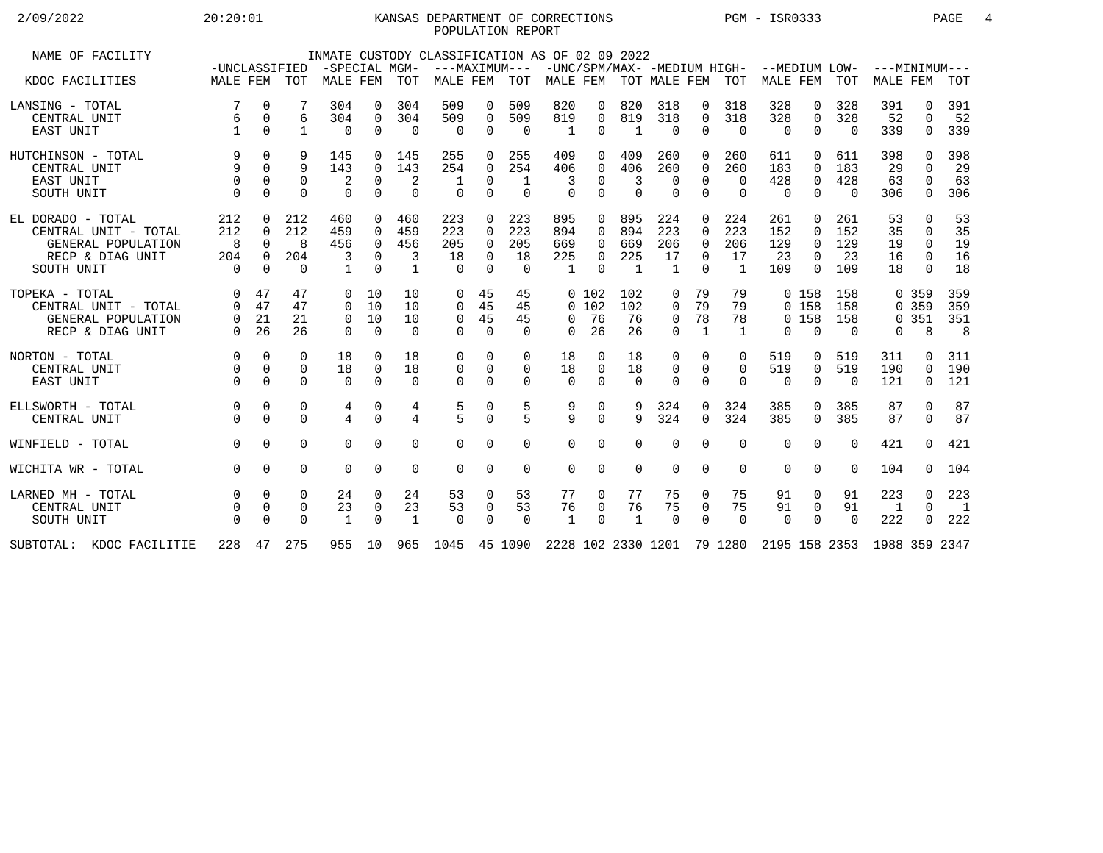## 2/09/2022 20:20:01 KANSAS DEPARTMENT OF CORRECTIONS PGM - ISR0333 PAGE 4POPULATION REPORT

| NAME OF FACILITY            | -UNCLASSIFIED |             |              | -SPECIAL MGM- |                |                | INMATE CUSTODY CLASSIFICATION AS OF 02 09 2022 |             | ---MAXIMUM--- |                |          |                            |                |                |              | -UNC/SPM/MAX- -MEDIUM HIGH- --MEDIUM LOW- |                |               |                 |              | $---MINTMINIM---$        |
|-----------------------------|---------------|-------------|--------------|---------------|----------------|----------------|------------------------------------------------|-------------|---------------|----------------|----------|----------------------------|----------------|----------------|--------------|-------------------------------------------|----------------|---------------|-----------------|--------------|--------------------------|
| KDOC FACILITIES             | MALE FEM      |             | TOT          | MALE FEM      |                | <b>TOT</b>     | MALE FEM                                       |             | TOT           | MALE FEM       |          |                            | TOT MALE FEM   |                | TOT          | MALE FEM                                  |                | TOT           | <b>MALE FEM</b> |              | TOT                      |
| LANSING - TOTAL             |               | $\mathbf 0$ |              | 304           | 0              | 304            | 509                                            | 0           | 509           | 820            | 0        | 820                        | 318            | 0              | 318          | 328                                       | 0              | 328           | 391             | $\Omega$     | 391                      |
| CENTRAL UNIT                | 6             | $\mathbf 0$ | 6            | 304           | 0              | 304            | 509                                            | $\mathbf 0$ | 509           | 819            | $\Omega$ | 819                        | 318            | $\Omega$       | 318          | 328                                       | $\mathbf 0$    | 328           | 52              | $\Omega$     | 52                       |
| EAST UNIT                   |               | $\Omega$    | $\mathbf{1}$ | $\Omega$      | $\Omega$       | $\Omega$       | $\Omega$                                       | $\mathbf 0$ | $\Omega$      | 1              | 0        | -1                         | $\Omega$       | $\Omega$       | $\Omega$     | $\Omega$                                  | $\Omega$       | $\Omega$      | 339             | $\Omega$     | 339                      |
| HUTCHINSON - TOTAL          | 9             | $\Omega$    |              | 145           | $\Omega$       | 145            | 255                                            | $\Omega$    | 255           | 409            | 0        | 409                        | 260            | $\Omega$       | 260          | 611                                       | $\Omega$       | 611           | 398             | <sup>0</sup> | 398                      |
| CENTRAL UNIT                | 9             | $\Omega$    | 9            | 143           | $\Omega$       | 143            | 254                                            | $\Omega$    | 254           | 406            | 0        | 406                        | 260            | $\Omega$       | 260          | 183                                       | $\Omega$       | 183           | 29              | $\Omega$     | 29                       |
| EAST UNIT                   | 0             | $\Omega$    | 0            | 2             | $\mathbf 0$    | 2              |                                                | 0           | 1             | 3              | 0        | 3                          | $\mathbf 0$    | $\Omega$       | $\mathbf 0$  | 428                                       | 0              | 428           | 63              | 0            | 63                       |
| SOUTH UNIT                  | $\Omega$      | $\Omega$    | $\Omega$     | $\Omega$      | $\Omega$       | $\Omega$       | $\Omega$                                       | $\Omega$    | $\Omega$      | $\Omega$       | $\Omega$ | $\Omega$                   | $\Omega$       | $\Omega$       | $\Omega$     | $\Omega$                                  | $\Omega$       | $\Omega$      | 306             | $\Omega$     | 306                      |
| EL DORADO - TOTAL           | 212           | $\Omega$    | 212          | 460           | $\Omega$       | 460            | 223                                            | $\Omega$    | 223           | 895            | 0        | 895                        | 224            | $\Omega$       | 224          | 261                                       | $\Omega$       | 261           | 53              | $\Omega$     | 53                       |
| CENTRAL UNIT - TOTAL        | 212           | $\Omega$    | 212          | 459           | $\Omega$       | 459            | 223                                            | $\Omega$    | 223           | 894            | 0        | 894                        | 223            | $\Omega$       | 223          | 152                                       | $\overline{0}$ | 152           | 35              | 0            | 35                       |
| GENERAL POPULATION          | 8             | $\Omega$    | 8            | 456           | $\Omega$       | 456            | 205                                            | $\Omega$    | 205           | 669            | 0        | 669                        | 206            | $\Omega$       | 206          | 129                                       | 0              | 129           | 19              | $\Omega$     | 19                       |
| RECP & DIAG UNIT            | 204           | $\Omega$    | 204          | 3             | $\Omega$       | 3              | 18                                             | $\Omega$    | 18            | 225            | 0        | 225                        | 17             | $\Omega$       | 17           | 23                                        | $\Omega$       | 23            | 16              | $\Omega$     | 16                       |
| SOUTH UNIT                  | $\Omega$      | $\Omega$    | $\Omega$     | $\mathbf{1}$  | $\Omega$       | $\mathbf{1}$   | $\Omega$                                       | $\Omega$    | $\Omega$      | $\overline{1}$ | $\Omega$ | $\overline{1}$             | $\overline{1}$ | $\Omega$       | $\mathbf{1}$ | 109                                       | $\Omega$       | 109           | 18              | $\Omega$     | 18                       |
| TOPEKA - TOTAL              | $\Omega$      | 47          | 47           | $\Omega$      | 10             | 10             | $\Omega$                                       | 45          | 45            |                | 0, 102   | 102                        | 0              | 79             | 79           |                                           | 0 158          | 158           |                 | 0 359        | 359                      |
| CENTRAL UNIT - TOTAL        | 0             | 47          | 47           | $\Omega$      | 10             | 10             | $\Omega$                                       | 45          | 45            |                | 0 102    | 102                        | 0              | 79             | 79           |                                           | 0, 158         | 158           |                 | 0 359        | 359                      |
| GENERAL POPULATION          | $\Omega$      | 21          | 21           | $\Omega$      | 10             | 10             | 0                                              | 45          | 45            | $\Omega$       | 76       | 76                         | 0              | 78             | 78           |                                           | 0 158          | 158           |                 | 0.351        | 351                      |
| RECP & DIAG UNIT            | $\Omega$      | 26          | 26           | $\Omega$      | $\Omega$       | $\Omega$       | $\Omega$                                       | $\Omega$    | $\Omega$      | $\Omega$       | 26       | 26                         | $\Omega$       | $\mathbf{1}$   | $\mathbf{1}$ | $\Omega$                                  | $\Omega$       | $\Omega$      | 0               | 8            | 8                        |
| NORTON - TOTAL              | $\Omega$      | $\Omega$    | $\Omega$     | 18            | $\Omega$       | 18             | $\Omega$                                       | $\Omega$    | $\Omega$      | 18             | 0        | 18                         | 0              | $\Omega$       | $\Omega$     | 519                                       | 0              | 519           | 311             | $\Omega$     | 311                      |
| CENTRAL UNIT                | 0             | $\Omega$    | $\mathbf 0$  | 18            | $\overline{0}$ | 18             | $\mathbf 0$                                    | $\mathbf 0$ | $\mathbf 0$   | 18             | 0        | 18                         | $\mathbf{0}$   | $\overline{0}$ | $\mathbf 0$  | 519                                       | $\mathbf 0$    | 519           | 190             | 0            | 190                      |
| EAST UNIT                   | $\Omega$      | $\Omega$    | $\Omega$     | $\Omega$      | $\Omega$       | $\Omega$       | $\Omega$                                       | $\Omega$    | $\mathbf 0$   | $\Omega$       | $\Omega$ | $\Omega$                   | $\overline{0}$ | $\overline{0}$ | $\Omega$     | $\Omega$                                  | $\mathbf 0$    | $\Omega$      | 121             | $\mathbf 0$  | 121                      |
| ELLSWORTH - TOTAL           | 0             | 0           | 0            | 4             | 0              | 4              | 5                                              | 0           | 5             | 9              | 0        | 9                          | 324            | $\Omega$       | 324          | 385                                       | $\Omega$       | 385           | 87              | $\mathbf{0}$ | 87                       |
| CENTRAL UNIT                |               | $\Omega$    | $\Omega$     | 4             | $\Omega$       | $\overline{4}$ | $\overline{5}$                                 | $\Omega$    | 5             | 9              | $\Omega$ | 9                          | 324            | $\Omega$       | 324          | 385                                       | $\Omega$       | 385           | 87              | $\Omega$     | 87                       |
| WINFIELD - TOTAL            | $\Omega$      | $\Omega$    | $\Omega$     | $\Omega$      | $\Omega$       | $\Omega$       | $\Omega$                                       | $\Omega$    | 0             | $\Omega$       | 0        | $\Omega$                   | $\Omega$       | $\Omega$       | $\Omega$     | $\Omega$                                  | $\Omega$       | $\Omega$      | 421             | $\Omega$     | 421                      |
| WICHITA WR - TOTAL          | $\Omega$      | $\Omega$    | $\Omega$     | $\Omega$      | $\Omega$       | $\Omega$       | $\Omega$                                       | $\Omega$    | $\mathbf 0$   | $\Omega$       | 0        | $\Omega$                   | $\Omega$       | $\Omega$       | $\Omega$     | $\Omega$                                  | $\Omega$       | $\Omega$      | 104             | $\Omega$     | 104                      |
| LARNED MH - TOTAL           | $\Omega$      | $\Omega$    | $\Omega$     | 24            | $\Omega$       | 24             | 53                                             | $\Omega$    | 53            | 77             | 0        | 77                         | 75             | $\Omega$       | 75           | 91                                        | 0              | 91            | 223             | $\Omega$     | 223                      |
| CENTRAL UNIT                |               | $\mathbf 0$ | 0            | 23            | 0              | 23             | 53                                             | 0           | 53            | 76             | 0        | 76                         | 75             | $\mathbf 0$    | 75           | 91                                        | 0              | 91            | $\overline{1}$  | $\Omega$     | $\overline{\phantom{0}}$ |
| SOUTH UNIT                  | $\Omega$      | $\Omega$    | $\Omega$     | 1             | $\Omega$       | 1              | $\cap$                                         | $\Omega$    | $\Omega$      | $\mathbf{1}$   | $\Omega$ | 1                          | $\Omega$       | $\Omega$       | $\Omega$     | $\Omega$                                  | $\Omega$       | $\Omega$      | 222             | $\Omega$     | 222                      |
| SUBTOTAL:<br>KDOC FACILITIE | 228           | 47          | 275          | 955           | 10             | 965            | 1045 45 1090                                   |             |               |                |          | 2228 102 2330 1201 79 1280 |                |                |              |                                           |                | 2195 158 2353 | 1988 359 2347   |              |                          |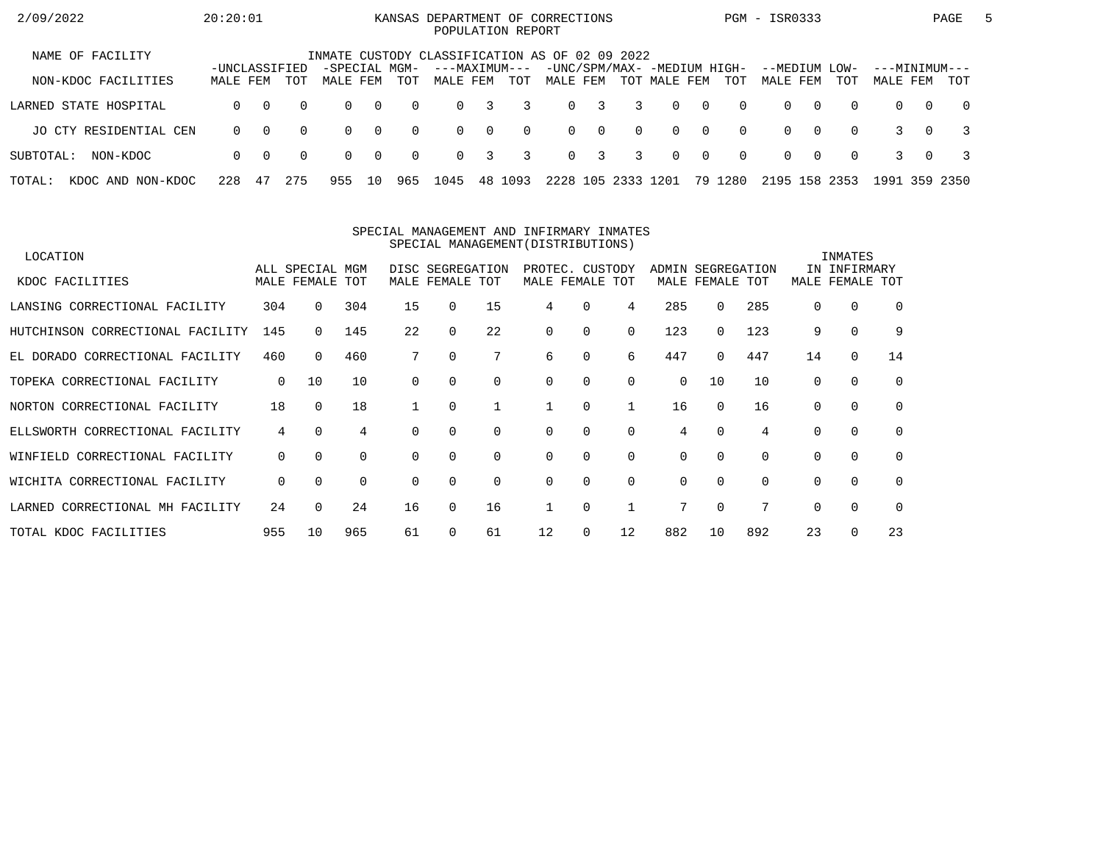| 2/09/2022                      | 20:20:01                  |          |          |                                                |                |          | KANSAS DEPARTMENT OF CORRECTIONS<br>POPULATION REPORT |          |          |          |                         |          |                                             |                |          | PGM - ISR0333        |          |             |                           |          | PAGE           | 5 |
|--------------------------------|---------------------------|----------|----------|------------------------------------------------|----------------|----------|-------------------------------------------------------|----------|----------|----------|-------------------------|----------|---------------------------------------------|----------------|----------|----------------------|----------|-------------|---------------------------|----------|----------------|---|
| NAME OF FACILITY               |                           |          |          | INMATE CUSTODY CLASSIFICATION AS OF 02 09 2022 |                |          |                                                       |          |          |          |                         |          |                                             |                |          |                      |          |             |                           |          |                |   |
| NON-KDOC FACILITIES            | -UNCLASSIFIED<br>MALE FEM |          | TOT      | -SPECIAL MGM-<br>MALE FEM                      |                | TOT      | ---MAXIMUM---<br>MALE FEM                             |          | TOT      | MALE FEM |                         |          | -UNC/SPM/MAX- -MEDIUM HIGH-<br>TOT MALE FEM |                | TOT      | --MEDIUM<br>MALE FEM |          | LOW-<br>TOT | ---MINIMUM---<br>MALE FEM |          | TOT            |   |
| LARNED STATE HOSPITAL          | $\Omega$                  | $\Omega$ | $\Omega$ | $\Omega$                                       | $\overline{0}$ | $\Omega$ | $\Omega$                                              | 3        | 3        | $\Omega$ | $\overline{\mathbf{3}}$ | 3        | $\Omega$                                    | $\overline{0}$ | $\Omega$ | $\Omega$             | $\Omega$ | $\Omega$    | $\Omega$                  | $\Omega$ | $\overline{0}$ |   |
| JO CTY RESIDENTIAL CEN         | $\Omega$                  | $\Omega$ | $\Omega$ | $\Omega$                                       | $\overline{0}$ | $\Omega$ | $\Omega$                                              | $\Omega$ | $\Omega$ |          | $0 \quad 0$             | $\Omega$ | $\Omega$                                    | $\overline{0}$ | $\Omega$ | $\Omega$             | റ        | $\Omega$    |                           | $\Omega$ |                |   |
| SUBTOTAL:<br>NON-KDOC          | $\Omega$                  | - 0      | $\Omega$ | $\Omega$                                       | $\overline{0}$ | $\Omega$ | $\Omega$                                              | 3        | 3        |          | $0 \quad 3$             | 3        | $\Omega$                                    | $\overline{0}$ | $\Omega$ | $\Omega$             | $\Omega$ | $\Omega$    |                           | $\Omega$ |                |   |
| TOTAL:<br>NON-KDOC<br>KDOC AND | 228                       | 47       | 275      | 955                                            | 10             | 965      | 1045                                                  |          | 48 1093  | 2228     | 105                     | 2333     | 1201                                        |                | 79 1280  | 2195 158             |          | 2353        | 1991                      |          | 359 2350       |   |

#### SPECIAL MANAGEMENT AND INFIRMARY INMATESSPECIAL MANAGEMENT(DISTRIBUTIONS)

| LOCATION                         |             |                 |          |          |                  |             |                 |          |          |          |                 |          |          | INMATES      |             |
|----------------------------------|-------------|-----------------|----------|----------|------------------|-------------|-----------------|----------|----------|----------|-----------------|----------|----------|--------------|-------------|
|                                  |             | ALL SPECIAL MGM |          |          | DISC SEGREGATION |             | PROTEC. CUSTODY |          |          | ADMIN    | SEGREGATION     |          |          | IN INFIRMARY |             |
| KDOC FACILITIES                  |             | MALE FEMALE     | TOT      |          | MALE FEMALE TOT  |             | MALE FEMALE     |          | TOT      |          | MALE FEMALE TOT |          | MALE     | FEMALE TOT   |             |
| LANSING CORRECTIONAL FACILITY    | 304         | $\Omega$        | 304      | 15       | $\Omega$         | 15          | 4               | 0        | 4        | 285      | 0               | 285      | $\Omega$ | $\Omega$     | $\Omega$    |
| HUTCHINSON CORRECTIONAL FACILITY | 145         |                 | 145      | 22       | $\Omega$         | 22          | $\Omega$        | 0        | $\Omega$ | 123      | 0               | 123      | 9        | $\mathbf 0$  | 9           |
| EL DORADO CORRECTIONAL FACILITY  | 460         | $\Omega$        | 460      |          | 0                |             | 6               | 0        | 6        | 447      | 0               | 447      | 14       | $\mathbf 0$  | 14          |
| TOPEKA CORRECTIONAL FACILITY     | $\mathbf 0$ | 10              | 10       | $\Omega$ | $\Omega$         | $\Omega$    | $\Omega$        | $\Omega$ | $\Omega$ | $\Omega$ | 10              | 10       | 0        | $\Omega$     | $\mathbf 0$ |
| NORTON CORRECTIONAL FACILITY     | 18          | $\Omega$        | 18       |          | $\Omega$         |             |                 | $\Omega$ |          | 16       | $\Omega$        | 16       | $\Omega$ | $\Omega$     | $\Omega$    |
| ELLSWORTH CORRECTIONAL FACILITY  | 4           | $\Omega$        | 4        |          | $\Omega$         | $\Omega$    | $\Omega$        | 0        | $\Omega$ | 4        | 0               | 4        | $\Omega$ | $\Omega$     | $\mathbf 0$ |
| WINFIELD CORRECTIONAL FACILITY   | 0           | $\Omega$        | 0        | $\Omega$ | 0                | $\mathbf 0$ | 0               | 0        | $\Omega$ | 0        | $\Omega$        |          | 0        | 0            | $\mathbf 0$ |
| WICHITA CORRECTIONAL FACILITY    | 0           | $\Omega$        | $\Omega$ | $\Omega$ | $\Omega$         | $\Omega$    | $\Omega$        | $\Omega$ | $\Omega$ | $\Omega$ | $\Omega$        | $\Omega$ | 0        | $\Omega$     | $\mathbf 0$ |
| LARNED CORRECTIONAL MH FACILITY  | 24          |                 | 24       | 16       | $\Omega$         | 16          |                 | 0        |          | 7        | 0               |          | $\Omega$ | $\Omega$     | $\Omega$    |
| TOTAL KDOC FACILITIES            | 955         | 10              | 965      | 61       |                  | 61          | 12              | 0        | 12       | 882      | 10              | 892      | 23       | $\Omega$     | 23          |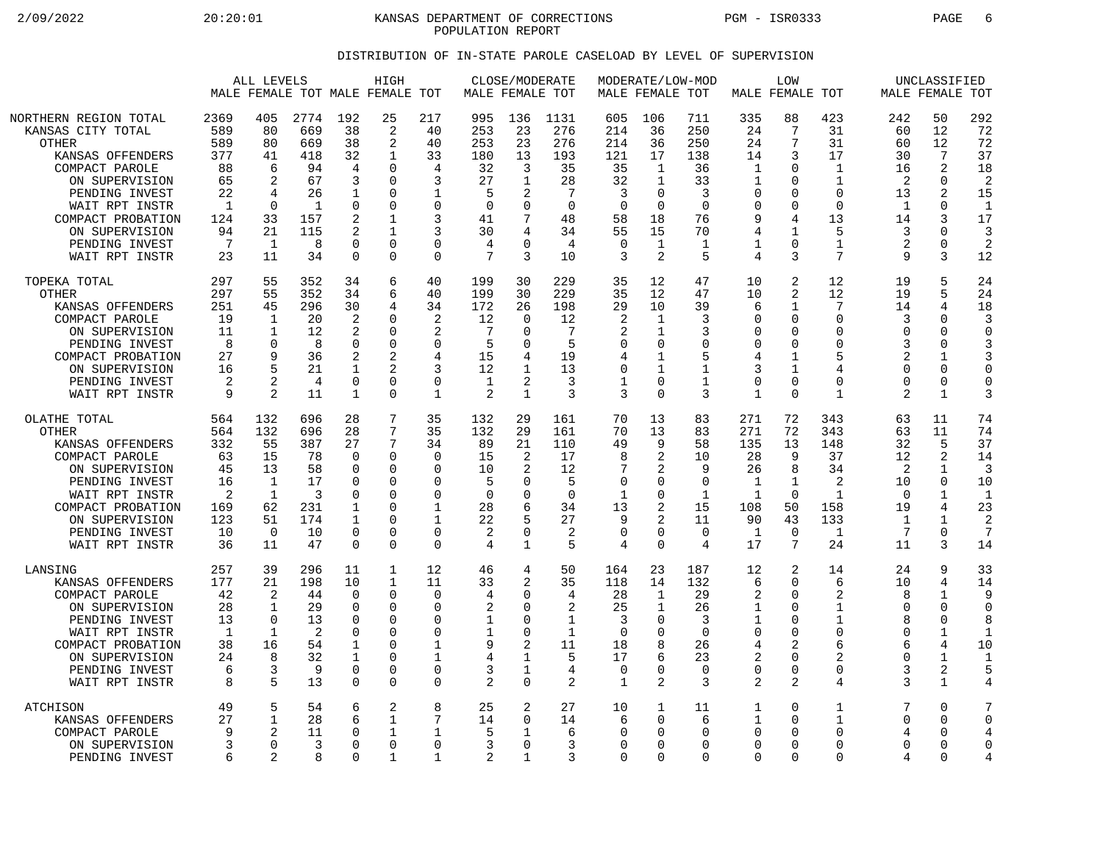2/09/2022 20:20:01 KANSAS DEPARTMENT OF CORRECTIONS PGM - ISR0333 PAGE 6 POPULATION REPORT

## DISTRIBUTION OF IN-STATE PAROLE CASELOAD BY LEVEL OF SUPERVISION

|                                                                                                                                                                            |                                                          | ALL LEVELS                                                  |                                                           |                                                          | HIGH<br>MALE FEMALE TOT MALE FEMALE TOT                                          |                                                                            | MALE FEMALE TOT                                                      | CLOSE/MODERATE                                                                             |                                                         | MALE FEMALE TOT                                                    |                                                                                              | MODERATE/LOW-MOD                                                   | MALE FEMALE TOT                                                                        | <b>LOW</b>                                                                                          |                                                                                                     |                                                                        | UNCLASSIFIED<br>MALE FEMALE TOT                                                |                                                                        |
|----------------------------------------------------------------------------------------------------------------------------------------------------------------------------|----------------------------------------------------------|-------------------------------------------------------------|-----------------------------------------------------------|----------------------------------------------------------|----------------------------------------------------------------------------------|----------------------------------------------------------------------------|----------------------------------------------------------------------|--------------------------------------------------------------------------------------------|---------------------------------------------------------|--------------------------------------------------------------------|----------------------------------------------------------------------------------------------|--------------------------------------------------------------------|----------------------------------------------------------------------------------------|-----------------------------------------------------------------------------------------------------|-----------------------------------------------------------------------------------------------------|------------------------------------------------------------------------|--------------------------------------------------------------------------------|------------------------------------------------------------------------|
| NORTHERN REGION TOTAL                                                                                                                                                      | 2369                                                     | 405                                                         | 2774                                                      | 192                                                      | 25                                                                               | 217                                                                        | 995                                                                  | 136                                                                                        | 1131                                                    | 605                                                                | 106                                                                                          | 711                                                                | 335                                                                                    | 88                                                                                                  | 423                                                                                                 | 242                                                                    | 50                                                                             | 292                                                                    |
| KANSAS CITY TOTAL                                                                                                                                                          | 589                                                      | 80                                                          | 669                                                       | 38                                                       | 2                                                                                | 40                                                                         | 253                                                                  | 23                                                                                         | 276                                                     | 214                                                                | 36                                                                                           | 250                                                                | 24                                                                                     | 7                                                                                                   | 31                                                                                                  | 60                                                                     | 12                                                                             | 72                                                                     |
| OTHER                                                                                                                                                                      | 589                                                      | 80                                                          | 669                                                       | 38                                                       | 2                                                                                | 40                                                                         | 253                                                                  | 23                                                                                         | 276                                                     | 214                                                                | 36                                                                                           | 250                                                                | 24                                                                                     | 7                                                                                                   | 31                                                                                                  | 60                                                                     | 12                                                                             | 72                                                                     |
| KANSAS OFFENDERS                                                                                                                                                           | 377                                                      | 41                                                          | 418                                                       | 32                                                       | 1                                                                                | 33                                                                         | 180                                                                  | 13                                                                                         | 193                                                     | 121                                                                | 17                                                                                           | 138                                                                | 14                                                                                     | 3                                                                                                   | 17                                                                                                  | 30                                                                     | 7                                                                              | 37                                                                     |
| COMPACT PAROLE                                                                                                                                                             | 88                                                       | 6                                                           | 94                                                        | 4                                                        | U                                                                                | 4                                                                          | 32                                                                   | 3                                                                                          | 35                                                      | 35                                                                 | 1                                                                                            | 36                                                                 | $\mathbf{1}$                                                                           | $\mathbf 0$                                                                                         | $\mathbf 1$                                                                                         | 16                                                                     | 2                                                                              | 18                                                                     |
| ON SUPERVISION                                                                                                                                                             | 65                                                       | $\mathfrak{D}$                                              | 67                                                        | 3                                                        | O                                                                                | 3                                                                          | 27                                                                   | 1                                                                                          | 28                                                      | 32                                                                 | 1                                                                                            | 33                                                                 | 1                                                                                      | $\Omega$                                                                                            | 1                                                                                                   | 2                                                                      | $\Omega$                                                                       | 2                                                                      |
| PENDING INVEST                                                                                                                                                             | 22                                                       | 4                                                           | 26                                                        | 1                                                        | 0                                                                                | 1                                                                          | 5                                                                    | 2                                                                                          | 7                                                       | 3                                                                  | 0                                                                                            | 3                                                                  | $\mathbf 0$                                                                            | 0                                                                                                   | $\mathbf 0$                                                                                         | 13                                                                     | 2                                                                              | 15                                                                     |
| WAIT RPT INSTR                                                                                                                                                             | $\mathbf{1}$                                             | $\Omega$                                                    | $\mathbf{1}$                                              | 0                                                        | 0                                                                                | $\mathbf 0$                                                                | $\Omega$                                                             | $\Omega$                                                                                   | $\Omega$                                                | $\Omega$                                                           | $\Omega$                                                                                     | $\Omega$                                                           | $\Omega$                                                                               | 0                                                                                                   | $\Omega$                                                                                            | 1                                                                      | $\Omega$                                                                       | $\mathbf{1}$                                                           |
| COMPACT PROBATION                                                                                                                                                          | 124                                                      | 33                                                          | 157                                                       | 2                                                        | 1                                                                                | 3                                                                          | 41                                                                   | 7                                                                                          | 48                                                      | 58                                                                 | 18                                                                                           | 76                                                                 | 9                                                                                      | 4                                                                                                   | 13                                                                                                  | 14                                                                     | 3                                                                              | 17                                                                     |
| ON SUPERVISION                                                                                                                                                             | 94                                                       | 21                                                          | 115                                                       | 2                                                        | $\mathbf{1}$                                                                     | 3                                                                          | 30                                                                   | 4                                                                                          | 34                                                      | 55                                                                 | 15                                                                                           | 70                                                                 | 4                                                                                      | $\mathbf{1}$                                                                                        | 5                                                                                                   | 3                                                                      | 0                                                                              | 3                                                                      |
| PENDING INVEST                                                                                                                                                             | 7                                                        | $\mathbf{1}$                                                | 8                                                         | $\Omega$                                                 | $\Omega$                                                                         | $\Omega$                                                                   | $\overline{4}$                                                       | $\Omega$                                                                                   | 4                                                       | $\Omega$                                                           | $\mathbf{1}$                                                                                 | $\mathbf{1}$                                                       | $\mathbf{1}$                                                                           | $\Omega$                                                                                            | 1                                                                                                   | 2                                                                      | $\Omega$                                                                       | 2                                                                      |
| WAIT RPT INSTR                                                                                                                                                             | 23                                                       | 11                                                          | 34                                                        | $\mathbf 0$                                              | $\Omega$                                                                         | $\Omega$                                                                   | 7                                                                    | 3                                                                                          | 10                                                      | 3                                                                  | $\overline{2}$                                                                               | 5                                                                  | 4                                                                                      | 3                                                                                                   | 7                                                                                                   | 9                                                                      | 3                                                                              | 12                                                                     |
| TOPEKA TOTAL<br>OTHER<br>KANSAS OFFENDERS<br>COMPACT PAROLE<br>ON SUPERVISION<br>PENDING INVEST<br>COMPACT PROBATION<br>ON SUPERVISION<br>PENDING INVEST<br>WAIT RPT INSTR | 297<br>297<br>251<br>19<br>11<br>8<br>27<br>16<br>2<br>9 | 55<br>55<br>45<br>1<br>1<br>$\Omega$<br>9<br>$\overline{2}$ | 352<br>352<br>296<br>20<br>12<br>8<br>36<br>21<br>4<br>11 | 34<br>34<br>30<br>2<br>2<br>0<br>2<br>1<br>$\Omega$<br>1 | 6<br>6<br>4<br>O<br>0<br>$\Omega$<br>2<br>$\overline{c}$<br>$\Omega$<br>$\Omega$ | 40<br>40<br>34<br>2<br>2<br>$\Omega$<br>4<br>3<br>$\Omega$<br>$\mathbf{1}$ | 199<br>199<br>172<br>12<br>7<br>5<br>15<br>12<br>1<br>$\overline{2}$ | 30<br>30<br>26<br>$\Omega$<br>$\Omega$<br>$\Omega$<br>4<br>$\mathbf 1$<br>2<br>$\mathbf 1$ | 229<br>229<br>198<br>12<br>7<br>5<br>19<br>13<br>3<br>3 | 35<br>35<br>29<br>2<br>2<br>$\Omega$<br>4<br>$\mathbf 0$<br>1<br>3 | 12<br>12<br>10<br>1<br>$\mathbf{1}$<br>$\Omega$<br>1<br>$\mathbf{1}$<br>$\Omega$<br>$\Omega$ | 47<br>47<br>39<br>3<br>3<br>$\Omega$<br>5<br>$\mathbf 1$<br>1<br>3 | 10<br>10<br>6<br>$\Omega$<br>$\Omega$<br>$\Omega$<br>4<br>3<br>$\Omega$<br>$\mathbf 1$ | 2<br>2<br>$\mathbf{1}$<br>0<br>$\mathbf 0$<br>$\Omega$<br>1<br>$\mathbf{1}$<br>$\Omega$<br>$\Omega$ | 12<br>12<br>7<br>$\Omega$<br>$\Omega$<br>$\Omega$<br>5<br>$\overline{4}$<br>$\Omega$<br>$\mathbf 1$ | 19<br>19<br>14<br>3<br>$\Omega$<br>3<br>2<br>$\Omega$<br>$\Omega$<br>2 | 5<br>5<br>4<br>$\Omega$<br>0<br>$\Omega$<br>1<br>0<br>$\Omega$<br>$\mathbf{1}$ | 24<br>24<br>18<br>3<br>$\Omega$<br>3<br>3<br>$\Omega$<br>$\Omega$<br>3 |
| OLATHE TOTAL                                                                                                                                                               | 564                                                      | 132                                                         | 696                                                       | 28                                                       | 7                                                                                | 35                                                                         | 132                                                                  | 29                                                                                         | 161                                                     | 70                                                                 | 13                                                                                           | 83                                                                 | 271                                                                                    | 72                                                                                                  | 343                                                                                                 | 63                                                                     | 11                                                                             | 74                                                                     |
| <b>OTHER</b>                                                                                                                                                               | 564                                                      | 132                                                         | 696                                                       | 28                                                       | 7                                                                                | 35                                                                         | 132                                                                  | 29                                                                                         | 161                                                     | 70                                                                 | 13                                                                                           | 83                                                                 | 271                                                                                    | 72                                                                                                  | 343                                                                                                 | 63                                                                     | 11                                                                             | 74                                                                     |
| KANSAS OFFENDERS                                                                                                                                                           | 332                                                      | 55                                                          | 387                                                       | 27                                                       | 7                                                                                | 34                                                                         | 89                                                                   | 21                                                                                         | 110                                                     | 49                                                                 | 9                                                                                            | 58                                                                 | 135                                                                                    | 13                                                                                                  | 148                                                                                                 | 32                                                                     | 5                                                                              | 37                                                                     |
| COMPACT PAROLE                                                                                                                                                             | 63                                                       | 15                                                          | 78                                                        | $\Omega$                                                 | $\Omega$                                                                         | $\Omega$                                                                   | 15                                                                   | 2                                                                                          | 17                                                      | 8                                                                  | 2                                                                                            | 10                                                                 | 28                                                                                     | 9                                                                                                   | 37                                                                                                  | 12                                                                     | $\overline{a}$                                                                 | 14                                                                     |
| ON SUPERVISION                                                                                                                                                             | 45                                                       | 13                                                          | 58                                                        | 0                                                        | $\Omega$                                                                         | $\Omega$                                                                   | 10                                                                   | 2                                                                                          | 12                                                      | 7                                                                  | 2                                                                                            | 9                                                                  | 26                                                                                     | 8                                                                                                   | 34                                                                                                  | 2                                                                      | $\mathbf{1}$                                                                   | 3                                                                      |
| PENDING INVEST                                                                                                                                                             | 16                                                       | 1                                                           | 17                                                        | 0                                                        | 0                                                                                | $\Omega$                                                                   | 5                                                                    | $\Omega$                                                                                   | 5                                                       | 0                                                                  | 0                                                                                            | $\Omega$                                                           | -1                                                                                     | 1                                                                                                   | 2                                                                                                   | 10                                                                     | 0                                                                              | 10                                                                     |
| WAIT RPT INSTR                                                                                                                                                             | $\overline{2}$                                           | $\mathbf 1$                                                 | 3                                                         | 0                                                        | 0                                                                                | $\Omega$                                                                   | $\mathbf 0$                                                          | 0                                                                                          | $\mathbf 0$                                             | 1                                                                  | $\mathbf 0$                                                                                  | $\mathbf 1$                                                        | 1                                                                                      | $\Omega$                                                                                            | $\mathbf{1}$                                                                                        | $\mathbf 0$                                                            | $\mathbf{1}$                                                                   | 1                                                                      |
| COMPACT PROBATION                                                                                                                                                          | 169                                                      | 62                                                          | 231                                                       | 1                                                        | O                                                                                | 1                                                                          | 28                                                                   | 6                                                                                          | 34                                                      | 13                                                                 | $\overline{2}$                                                                               | 15                                                                 | 108                                                                                    | 50                                                                                                  | 158                                                                                                 | 19                                                                     | 4                                                                              | 23                                                                     |
| ON SUPERVISION                                                                                                                                                             | 123                                                      | 51                                                          | 174                                                       | 1                                                        | $\Omega$                                                                         | 1                                                                          | 22                                                                   | 5                                                                                          | 27                                                      | 9                                                                  | 2                                                                                            | 11                                                                 | 90                                                                                     | 43                                                                                                  | 133                                                                                                 | 1                                                                      | 1                                                                              | 2                                                                      |
| PENDING INVEST                                                                                                                                                             | 10                                                       | $\Omega$                                                    | 10                                                        | $\mathbf 0$                                              | $\Omega$                                                                         | $\mathbf 0$                                                                | $\overline{2}$                                                       | $\Omega$                                                                                   | 2                                                       | $\mathbf 0$                                                        | $\mathbf{0}$                                                                                 | 0                                                                  | 1                                                                                      | $\Omega$                                                                                            | $\mathbf{1}$                                                                                        | 7                                                                      | $\Omega$                                                                       | 7                                                                      |
| WAIT RPT INSTR                                                                                                                                                             | 36                                                       | 11                                                          | 47                                                        | $\Omega$                                                 | $\Omega$                                                                         | $\Omega$                                                                   | 4                                                                    | $\mathbf{1}$                                                                               | 5                                                       | 4                                                                  | $\Omega$                                                                                     | 4                                                                  | 17                                                                                     | 7                                                                                                   | 24                                                                                                  | 11                                                                     | 3                                                                              | 14                                                                     |
| LANSING                                                                                                                                                                    | 257                                                      | 39                                                          | 296                                                       | 11                                                       | 1                                                                                | 12                                                                         | 46                                                                   | 4                                                                                          | 50                                                      | 164                                                                | 23                                                                                           | 187                                                                | 12                                                                                     | 2                                                                                                   | 14                                                                                                  | 24                                                                     | 9                                                                              | 33                                                                     |
| KANSAS OFFENDERS                                                                                                                                                           | 177                                                      | 21                                                          | 198                                                       | 10                                                       | $\mathbf{1}$                                                                     | 11                                                                         | 33                                                                   | 2                                                                                          | 35                                                      | 118                                                                | 14                                                                                           | 132                                                                | 6                                                                                      | $\Omega$                                                                                            | 6                                                                                                   | 10                                                                     | 4                                                                              | 14                                                                     |
| COMPACT PAROLE                                                                                                                                                             | 42                                                       | 2                                                           | 44                                                        | 0                                                        | $\Omega$                                                                         | $\Omega$                                                                   | 4                                                                    | $\Omega$                                                                                   | 4                                                       | 28                                                                 | 1                                                                                            | 29                                                                 | 2                                                                                      | $\Omega$                                                                                            | 2                                                                                                   | 8                                                                      | $\mathbf{1}$                                                                   | 9                                                                      |
| ON SUPERVISION                                                                                                                                                             | 28                                                       | $\mathbf 1$                                                 | 29                                                        | $\mathbf 0$                                              | 0                                                                                | $\Omega$                                                                   | 2                                                                    | $\Omega$                                                                                   | 2                                                       | 25                                                                 | $\mathbf{1}$                                                                                 | 26                                                                 | $\mathbf{1}$                                                                           | $\mathbf 0$                                                                                         | 1                                                                                                   | $\Omega$                                                               | 0                                                                              | $\mathbf 0$                                                            |
| PENDING INVEST                                                                                                                                                             | 13                                                       | $\Omega$                                                    | 13                                                        | 0                                                        | $\Omega$                                                                         | $\Omega$                                                                   | 1                                                                    | $\Omega$                                                                                   | 1                                                       | 3                                                                  | 0                                                                                            | 3                                                                  | $\mathbf{1}$                                                                           | $\Omega$                                                                                            | 1                                                                                                   | 8                                                                      | $\Omega$                                                                       | 8                                                                      |
| WAIT RPT INSTR                                                                                                                                                             | 1                                                        | $\mathbf{1}$                                                | $\overline{2}$                                            | 0                                                        | 0                                                                                | $\mathbf 0$                                                                | 1                                                                    | $\Omega$                                                                                   | $\mathbf{1}$                                            | $\overline{0}$                                                     | $\mathbf 0$                                                                                  | $\mathbf 0$                                                        | $\mathbf 0$                                                                            | $\mathbf 0$                                                                                         | $\Omega$                                                                                            | $\Omega$                                                               | $\mathbf 1$                                                                    | $\mathbf{1}$                                                           |
| COMPACT PROBATION                                                                                                                                                          | 38                                                       | 16                                                          | 54                                                        | 1                                                        | 0                                                                                | 1                                                                          | 9                                                                    | 2                                                                                          | 11                                                      | 18                                                                 | 8                                                                                            | 26                                                                 | 4                                                                                      | 2                                                                                                   | 6                                                                                                   | 6                                                                      | 4                                                                              | 10                                                                     |
| ON SUPERVISION                                                                                                                                                             | 24                                                       | $\mathsf{R}$                                                | 32                                                        | 1                                                        | $\Omega$                                                                         | 1                                                                          | 4                                                                    | 1                                                                                          | 5                                                       | 17                                                                 | 6                                                                                            | 23                                                                 | 2                                                                                      | 0                                                                                                   | $\mathcal{D}$                                                                                       | $\Omega$                                                               | $\mathbf{1}$                                                                   | $\mathbf{1}$                                                           |
| PENDING INVEST                                                                                                                                                             | 6                                                        | 3                                                           | 9                                                         | $\mathbf 0$                                              | $\Omega$                                                                         | $\Omega$                                                                   | 3                                                                    | 1                                                                                          | 4                                                       | $\overline{0}$                                                     | $\Omega$                                                                                     | $\Omega$                                                           | $\Omega$                                                                               | 0                                                                                                   | $\Omega$                                                                                            | 3                                                                      | $\overline{2}$                                                                 | 5                                                                      |
| WAIT RPT INSTR                                                                                                                                                             | 8                                                        | 5                                                           | 13                                                        | 0                                                        | 0                                                                                | $\mathbf 0$                                                                | $\mathfrak{D}$                                                       | $\Omega$                                                                                   | 2                                                       | 1                                                                  | $\overline{2}$                                                                               | 3                                                                  | 2                                                                                      | 2                                                                                                   | 4                                                                                                   | 3                                                                      | $\mathbf{1}$                                                                   | 4                                                                      |
| ATCHISON                                                                                                                                                                   | 49                                                       | 5                                                           | 54                                                        | 6                                                        | 2                                                                                | 8                                                                          | 25                                                                   | 2                                                                                          | 27                                                      | 10                                                                 | $\mathbf 1$                                                                                  | 11                                                                 | 1                                                                                      | $\Omega$                                                                                            | 1                                                                                                   | 7                                                                      | 0                                                                              | 7                                                                      |
| KANSAS OFFENDERS                                                                                                                                                           | 27                                                       | $\mathbf 1$                                                 | 28                                                        | 6                                                        | 1                                                                                | 7                                                                          | 14                                                                   | 0                                                                                          | 14                                                      | 6                                                                  | $\mathbf 0$                                                                                  | 6                                                                  | 1                                                                                      | $\Omega$                                                                                            | $\mathbf{1}$                                                                                        | $\Omega$                                                               | 0                                                                              | 0                                                                      |
| COMPACT PAROLE                                                                                                                                                             | 9                                                        | 2                                                           | 11                                                        | 0                                                        | $\mathbf{1}$                                                                     | 1                                                                          | 5                                                                    | 1                                                                                          | 6                                                       | $\Omega$                                                           | $\Omega$                                                                                     | $\Omega$                                                           | $\Omega$                                                                               | $\Omega$                                                                                            | $\Omega$                                                                                            | 4                                                                      | O                                                                              | 4                                                                      |
| ON SUPERVISION                                                                                                                                                             | 3                                                        | $\Omega$                                                    | 3                                                         | $\mathbf 0$                                              | $\Omega$                                                                         | $\Omega$                                                                   | 3                                                                    | $\Omega$                                                                                   | 3                                                       | 0                                                                  | $\Omega$                                                                                     | $\Omega$                                                           | $\Omega$                                                                               | $\Omega$                                                                                            | $\Omega$                                                                                            | $\Omega$                                                               | 0                                                                              | $\Omega$                                                               |
| PENDING INVEST                                                                                                                                                             | 6                                                        | 2                                                           | 8                                                         | $\Omega$                                                 | $\mathbf{1}$                                                                     | 1                                                                          | $\mathfrak{D}$                                                       | 1                                                                                          | 3                                                       | $\Omega$                                                           | $\Omega$                                                                                     | $\Omega$                                                           | $\Omega$                                                                               | $\Omega$                                                                                            | $\Omega$                                                                                            | 4                                                                      | $\Omega$                                                                       | 4                                                                      |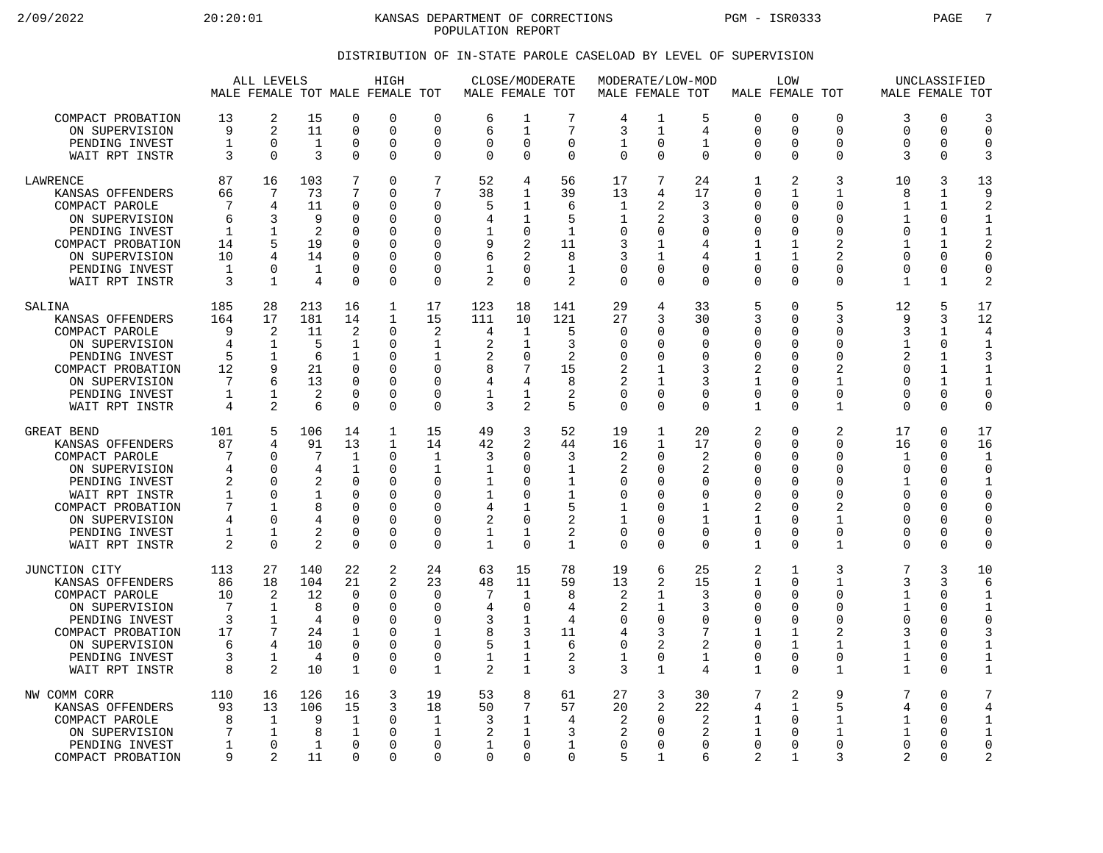2/09/2022 20:20:01 KANSAS DEPARTMENT OF CORRECTIONS PGM - ISR0333 PAGE 7 POPULATION REPORT

## DISTRIBUTION OF IN-STATE PAROLE CASELOAD BY LEVEL OF SUPERVISION

|                                     |         | ALL LEVELS                    |                   |                            | HIGH                            |                         |                      | CLOSE/MODERATE          |                         | MODERATE/LOW-MOD |                      |                      |                  | <b>LOW</b>           |                      |                          | UNCLASSIFIED     |                                |
|-------------------------------------|---------|-------------------------------|-------------------|----------------------------|---------------------------------|-------------------------|----------------------|-------------------------|-------------------------|------------------|----------------------|----------------------|------------------|----------------------|----------------------|--------------------------|------------------|--------------------------------|
|                                     |         |                               |                   |                            | MALE FEMALE TOT MALE FEMALE TOT |                         | MALE FEMALE TOT      |                         |                         | MALE FEMALE TOT  |                      |                      |                  | MALE FEMALE TOT      |                      |                          | MALE FEMALE TOT  |                                |
| COMPACT PROBATION                   | 13      | 2                             | 15                | 0                          | 0                               | $\Omega$                | 6                    | 1                       | 7                       | 4                | 1                    | 5                    | 0                | $\Omega$             | 0                    | 3                        | 0                | 3                              |
| ON SUPERVISION                      | 9       | $\overline{2}$                | 11                | $\overline{0}$             | 0                               | $\mathbf 0$             | 6                    | $\mathbf{1}$            | 7                       | 3                | $\mathbf{1}$         | 4                    | $\mathbf 0$      | $\overline{0}$       | 0                    | $\Omega$                 | 0                | $\Omega$                       |
| PENDING INVEST                      | 1<br>3  | 0<br>$\Omega$                 | $\mathbf{1}$<br>3 | $\Omega$<br>$\Omega$       | 0<br>0                          | $\Omega$<br>$\mathbf 0$ | $\Omega$<br>$\Omega$ | $\Omega$<br>$\Omega$    | $\Omega$<br>0           | 1<br>$\mathbf 0$ | $\Omega$<br>$\Omega$ | 1<br>$\Omega$        | 0<br>$\Omega$    | $\Omega$<br>$\Omega$ | 0<br>0               | $\Omega$<br>3            | 0<br>$\Omega$    | $\Omega$<br>3                  |
| WAIT RPT INSTR                      |         |                               |                   |                            |                                 |                         |                      |                         |                         |                  |                      |                      |                  |                      |                      |                          |                  |                                |
| LAWRENCE                            | 87      | 16                            | 103               | 7                          | 0                               | 7                       | 52                   | 4                       | 56                      | 17               | 7                    | 24                   | $\mathbf{1}$     | 2                    | 3                    | 10                       | 3                | 13                             |
| KANSAS OFFENDERS                    | 66      | 7                             | 73                | 7                          | 0                               | 7                       | 38                   | 1                       | 39                      | 13               | $\overline{4}$       | 17                   | $\Omega$         | $\mathbf{1}$         | 1                    | 8                        | 1                | 9                              |
| COMPACT PAROLE<br>ON SUPERVISION    | 7       | 4<br>3                        | 11<br>9           | $\mathbf 0$<br>$\mathbf 0$ | 0<br>$\Omega$                   | $\Omega$<br>$\Omega$    | 5<br>4               | 1<br>$\mathbf 1$        | 6<br>5                  | 1<br>1           | 2<br>2               | 3<br>3               | 0<br>$\mathbf 0$ | ∩<br>$\Omega$        | $\Omega$<br>0        | 1<br>$\mathbf{1}$        | 1<br>$\mathbf 0$ | $\overline{2}$<br>$\mathbf{1}$ |
| PENDING INVEST                      | 6<br>1  | $\mathbf{1}$                  | 2                 | $\Omega$                   | $\Omega$                        | O                       |                      | $\Omega$                | $\mathbf{1}$            | $\Omega$         | $\Omega$             | $\Omega$             | $\Omega$         | $\Omega$             | $\Omega$             | $\Omega$                 | $\mathbf{1}$     | 1                              |
| COMPACT PROBATION                   | 14      | 5                             | 19                | $\Omega$                   | $\Omega$                        | $\Omega$                | 9                    | 2                       | 11                      | 3                | 1                    | 4                    | $\mathbf{1}$     | $\mathbf 1$          | 2                    | 1                        | $\mathbf{1}$     | $\overline{2}$                 |
| ON SUPERVISION                      | 10      | 4                             | 14                | $\Omega$                   | $\Omega$                        | $\Omega$                | 6                    | $\mathcal{D}$           | 8                       | 3                | $\mathbf{1}$         | 4                    | $\mathbf{1}$     | 1                    | $\mathfrak{D}$       | $\Omega$                 | $\Omega$         | $\Omega$                       |
| PENDING INVEST                      | 1       | 0                             | 1                 | 0                          | 0                               | 0                       | 1                    | 0                       | 1                       | 0                | 0                    | 0                    | $\mathbf 0$      | 0                    | 0                    | $\Omega$                 | 0                | $\mathbf 0$                    |
| WAIT RPT INSTR                      | 3       | $\mathbf{1}$                  | 4                 | $\Omega$                   | 0                               | $\Omega$                | $\overline{2}$       | $\Omega$                | $\overline{a}$          | $\mathbf 0$      | $\Omega$             | $\Omega$             | $\Omega$         | $\Omega$             | 0                    | $\mathbf{1}$             | 1                | 2                              |
| SALINA                              | 185     | 28                            | 213               | 16                         | 1                               | 17                      | 123                  | 18                      | 141                     | 29               | 4                    | 33                   | 5                | $\Omega$             | 5                    | 12                       | 5                | 17                             |
| KANSAS OFFENDERS                    | 164     | 17                            | 181               | 14                         | $\mathbf 1$                     | 15                      | 111                  | 10                      | 121                     | 27               | 3                    | 30                   | 3                | 0                    | 3                    | 9                        | 3                | 12                             |
| COMPACT PAROLE                      | 9       | $\overline{2}$                | 11                | 2                          | 0                               | $\overline{2}$          | 4                    | 1                       | 5                       | $\Omega$         | O                    | $\Omega$             | 0                | $\Omega$             | $\Omega$             | 3                        | $\mathbf{1}$     | 4                              |
| ON SUPERVISION                      | 4       | 1                             | 5                 | $\mathbf{1}$               | 0                               | 1                       | 2                    | 1                       | 3                       | 0                | U                    | $\Omega$             | 0                | $\Omega$             | $\Omega$             | 1                        | 0                | 1                              |
| PENDING INVEST<br>COMPACT PROBATION | 5<br>12 | 1<br>9                        | 6<br>21           | 1<br>$\Omega$              | $\Omega$<br>$\Omega$            | 1<br>∩                  | 2<br>8               | $\mathbf 0$<br>7        | $\overline{c}$<br>15    | $\mathbf 0$<br>2 | $\Omega$<br>1        | $\Omega$<br>3        | $\mathbf 0$<br>2 | $\Omega$<br>∩        | $\Omega$<br>2        | $\overline{2}$<br>∩      | 1<br>1           | 3<br>1                         |
| ON SUPERVISION                      | 7       | 6                             | 13                | $\mathbf 0$                | 0                               | $\mathbf 0$             | 4                    | 4                       | 8                       | 2                | $\mathbf{1}$         | 3                    | $\mathbf{1}$     | $\Omega$             | $\mathbf{1}$         | $\Omega$                 | $\mathbf{1}$     | 1                              |
| PENDING INVEST                      | 1       | 1                             | 2                 | $\Omega$                   | $\Omega$                        | $\Omega$                | -1                   | 1                       | 2                       | $\mathbf 0$      | $\Omega$             | $\Omega$             | $\mathbf 0$      | $\Omega$             | 0                    | $\Omega$                 | 0                | $\mathbf 0$                    |
| WAIT RPT INSTR                      | 4       | 2                             | 6                 | $\mathbf 0$                | 0                               | $\Omega$                | 3                    | 2                       | 5                       | $\mathbf 0$      | $\Omega$             | $\Omega$             | 1                | $\Omega$             | 1                    | $\Omega$                 | $\mathbf 0$      | $\Omega$                       |
| GREAT BEND                          | 101     | 5                             | 106               | 14                         | 1                               | 15                      | 49                   | 3                       | 52                      | 19               | 1                    | 20                   | 2                | $\Omega$             | $\overline{2}$       | 17                       | $\mathbf 0$      | 17                             |
| KANSAS OFFENDERS                    | 87      | 4                             | 91                | 13                         | 1                               | 14                      | 42                   | $\overline{2}$          | 44                      | 16               | $\mathbf{1}$         | 17                   | 0                | $\Omega$             | 0                    | 16                       | $\mathbf 0$      | 16                             |
| COMPACT PAROLE                      | 7       | $\Omega$                      | 7                 | $\mathbf{1}$               | $\Omega$                        | 1                       | 3                    | $\Omega$                | 3                       | 2                | $\Omega$             | 2                    | $\Omega$         | $\Omega$             | $\Omega$             | $\mathbf{1}$             | $\Omega$         | $\mathbf{1}$                   |
| ON SUPERVISION                      | 4<br>2  | 0<br>$\Omega$                 |                   | $\mathbf{1}$               | 0                               | 1<br>$\Omega$           | $\mathbf{1}$         | $\Omega$<br>$\Omega$    | $\mathbf{1}$            | 2                | $\Omega$<br>U        | 2                    | 0<br>$\Omega$    | $\Omega$<br>$\Omega$ | $\Omega$<br>$\Omega$ | $\Omega$<br>1            | $\mathbf 0$      | $\mathbf 0$                    |
| PENDING INVEST<br>WAIT RPT INSTR    | 1       | $\Omega$                      | 2                 | $\Omega$<br>$\Omega$       | 0<br>0                          | $\Omega$                | 1                    | $\Omega$                | 1<br>1                  | 0<br>$\mathbf 0$ | $\Omega$             | $\Omega$<br>$\Omega$ | 0                | $\Omega$             | $\Omega$             | $\Omega$                 | $\Omega$<br>0    | $\mathbf{1}$<br>$\mathbf 0$    |
| COMPACT PROBATION                   | 7       | $\mathbf{1}$                  | 8                 | $\Omega$                   | 0                               | $\Omega$                | 4                    | 1                       | 5                       | 1                | O                    | 1                    | 2                | $\Omega$             | 2                    | $\Omega$                 | 0                | $\mathbf 0$                    |
| ON SUPERVISION                      | 4       | $\Omega$                      | 4                 | $\mathbf 0$                | 0                               | 0                       | 2                    | $\mathbf 0$             | $\overline{a}$          | 1                | U                    | 1                    | $\mathbf{1}$     | 0                    | $\mathbf{1}$         | $\Omega$                 | 0                | 0                              |
| PENDING INVEST                      | 1       | 1                             | 2                 | 0                          | 0                               | $\Omega$                | 1                    | 1                       | 2                       | 0                | $\Omega$             | $\Omega$             | 0                | $\Omega$             | $\Omega$             | $\Omega$                 | 0                | 0                              |
| WAIT RPT INSTR                      | 2       | $\Omega$                      | $\mathcal{D}$     | $\Omega$                   | 0                               | $\mathbf 0$             | $\mathbf{1}$         | $\Omega$                | $\mathbf{1}$            | $\mathbf 0$      | $\mathbf 0$          | 0                    | $\mathbf{1}$     | $\Omega$             | $\mathbf 1$          | $\Omega$                 | 0                | $\mathbf 0$                    |
| JUNCTION CITY                       | 113     | 27                            | 140               | 22                         | 2                               | 24                      | 63                   | 15                      | 78                      | 19               | 6                    | 25                   | 2                | 1                    | 3                    | 7                        | 3                | 10                             |
| KANSAS OFFENDERS                    | 86      | 18                            | 104               | 21                         | 2                               | 23                      | 48                   | 11                      | 59                      | 13               | 2                    | 15                   | 1                | $\Omega$             | $\mathbf{1}$         | 3                        | 3                | 6                              |
| COMPACT PAROLE                      | 10      | 2                             | 12                | 0                          | 0                               | $\Omega$                | 7                    | 1                       | 8                       | 2                | 1                    | 3                    | 0                | $\Omega$             | $\Omega$             | 1                        | 0                | $\mathbf{1}$                   |
| ON SUPERVISION                      | 7       | $\mathbf 1$                   | 8                 | $\Omega$                   | 0                               | $\mathbf 0$             | 4                    | $\mathbf 0$             | 4                       | 2                | 1                    | 3                    | $\Omega$         | $\Omega$             | $\Omega$<br>$\Omega$ | $\mathbf{1}$<br>$\Omega$ | 0                | $\mathbf{1}$                   |
| PENDING INVEST<br>COMPACT PROBATION | 3<br>17 | $\mathbf{1}$<br>7             | 4<br>24           | $\Omega$<br>1              | $\Omega$<br>0                   | $\Omega$<br>1           | 3<br>8               | 1<br>3                  | 4<br>11                 | $\Omega$<br>4    | $\Omega$<br>3        | 0<br>7               | $\Omega$<br>1    | $\Omega$<br>1        | 2                    | 3                        | $\Omega$<br>0    | $\Omega$<br>3                  |
| ON SUPERVISION                      | 6       | 4                             | 10                | $\Omega$                   | 0                               | $\mathbf 0$             | 5                    | 1                       | 6                       | $\overline{0}$   | 2                    | 2                    | $\Omega$         | 1                    | 1                    | 1                        | $\Omega$         | $1\,$                          |
| PENDING INVEST                      | 3       | 1                             | 4                 | 0                          | $\Omega$                        | $\mathbf 0$             | $\mathbf{1}$         | 1                       | 2                       | 1                | 0                    | 1                    | 0                | $\Omega$             | 0                    | 1                        | 0                | $\mathbf{1}$                   |
| WAIT RPT INSTR                      | 8       | 2                             | 10                | $\mathbf{1}$               | 0                               | $\mathbf{1}$            | 2                    | $\mathbf{1}$            | 3                       | 3                | $\mathbf{1}$         | $\overline{4}$       | $\mathbf{1}$     | $\Omega$             | $\mathbf{1}$         | $\mathbf{1}$             | 0                | 1                              |
| NW COMM CORR                        | 110     | 16                            | 126               | 16                         | 3                               | 19                      | 53                   | 8                       | 61                      | 27               | 3                    | 30                   | 7                | $\overline{2}$       | 9                    | 7                        | $\mathbf 0$      | 7                              |
| KANSAS OFFENDERS                    | 93      | 13                            | 106               | 15                         | 3                               | 18                      | 50                   | 7                       | 57                      | 20               | 2                    | 22                   | 4                | $\mathbf 1$          | 5                    | 4                        | $\Omega$         | 4                              |
| COMPACT PAROLE                      | 8       | 1                             | 9                 | 1                          | 0                               | 1                       | 3                    | 1                       | 4                       | 2                | $\Omega$             | 2                    | 1                | $\Omega$             | 1                    | 1                        | 0                | $\mathbf{1}$                   |
| ON SUPERVISION                      | 7       | $\mathbf{1}$                  | 8                 | 1                          | 0                               | 1                       | 2                    | 1                       | 3                       | 2                | $\Omega$             | 2                    | 1                | $\Omega$             | 1                    | 1                        | 0                | 1                              |
| PENDING INVEST<br>COMPACT PROBATION | 1<br>9  | $\mathbf 0$<br>$\overline{2}$ | 1<br>11           | $\mathbf 0$<br>$\Omega$    | 0<br>0                          | $\mathbf 0$<br>$\Omega$ | 1<br>$\Omega$        | $\mathbf 0$<br>$\Omega$ | $\mathbf 1$<br>$\Omega$ | $\mathbf 0$<br>5 | 0<br>1               | 0<br>6               | $\mathbf 0$<br>2 | $\Omega$<br>1        | $\Omega$<br>3        | $\Omega$<br>2            | 0<br>$\Omega$    | $\mathbf 0$<br>$\overline{2}$  |
|                                     |         |                               |                   |                            |                                 |                         |                      |                         |                         |                  |                      |                      |                  |                      |                      |                          |                  |                                |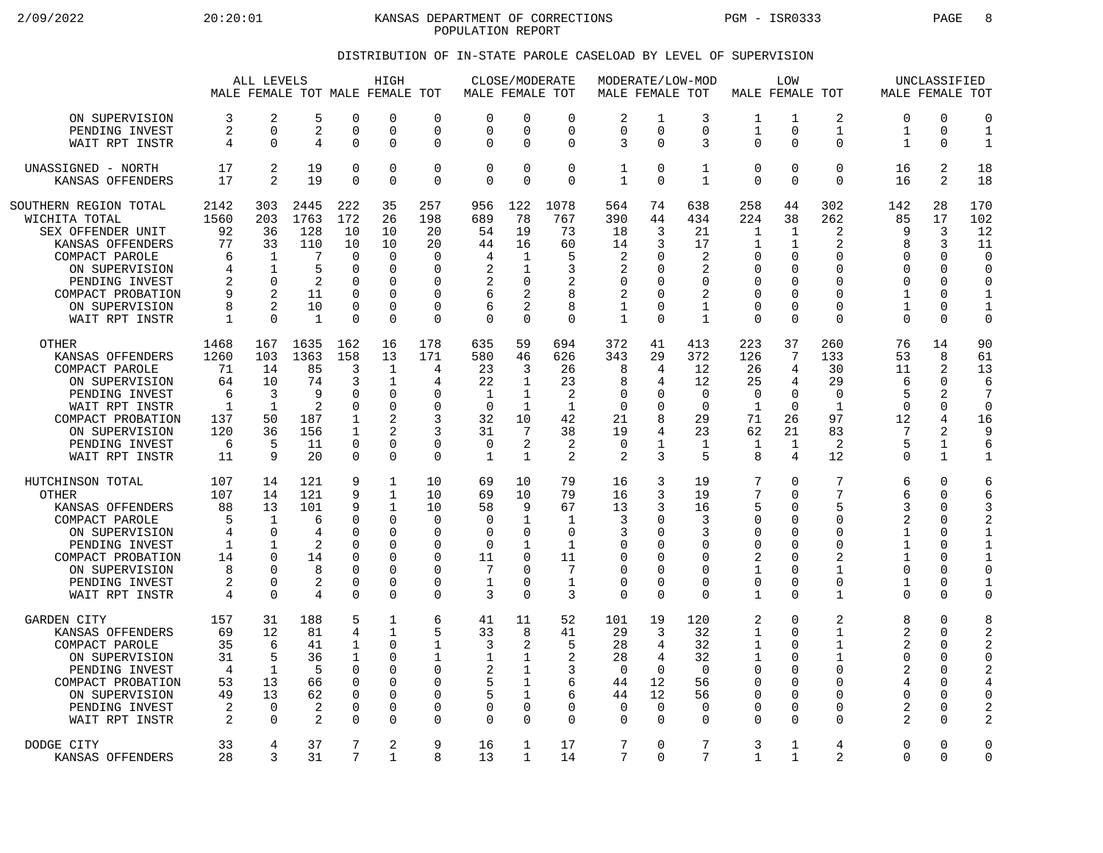2/09/2022 20:20:01 KANSAS DEPARTMENT OF CORRECTIONS PGM - ISR0333 PAGE 8 POPULATION REPORT

## DISTRIBUTION OF IN-STATE PAROLE CASELOAD BY LEVEL OF SUPERVISION

|                                                                                                                                                                                                |                                                                        | ALL LEVELS                                                                               |                                                              |                                                                                                    | HIGH<br>MALE FEMALE TOT MALE FEMALE TOT                                                              |                                                                                                       | MALE FEMALE TOT                                                            |                                                                                             | CLOSE/MODERATE                                                                      | MALE FEMALE TOT                                                 |                                                                                      | MODERATE/LOW-MOD                                                                 | MALE FEMALE TOT                                                                                           | LOW                                                                                         |                                                                                                        | MALE FEMALE TOT                                                                | UNCLASSIFIED                                                                                           |                                                                                                                          |
|------------------------------------------------------------------------------------------------------------------------------------------------------------------------------------------------|------------------------------------------------------------------------|------------------------------------------------------------------------------------------|--------------------------------------------------------------|----------------------------------------------------------------------------------------------------|------------------------------------------------------------------------------------------------------|-------------------------------------------------------------------------------------------------------|----------------------------------------------------------------------------|---------------------------------------------------------------------------------------------|-------------------------------------------------------------------------------------|-----------------------------------------------------------------|--------------------------------------------------------------------------------------|----------------------------------------------------------------------------------|-----------------------------------------------------------------------------------------------------------|---------------------------------------------------------------------------------------------|--------------------------------------------------------------------------------------------------------|--------------------------------------------------------------------------------|--------------------------------------------------------------------------------------------------------|--------------------------------------------------------------------------------------------------------------------------|
| ON SUPERVISION                                                                                                                                                                                 | 3                                                                      | $\overline{2}$                                                                           | 5                                                            | $\Omega$                                                                                           | 0                                                                                                    | $\Omega$                                                                                              | $\Omega$                                                                   | $\Omega$                                                                                    | $\Omega$                                                                            | 2                                                               | $\mathbf{1}$                                                                         | 3                                                                                | 1                                                                                                         | 1                                                                                           | 2                                                                                                      | $\Omega$                                                                       | ∩                                                                                                      | $\overline{0}$                                                                                                           |
| PENDING INVEST                                                                                                                                                                                 | 2                                                                      | $\Omega$                                                                                 | 2                                                            | $\mathbf 0$                                                                                        | 0                                                                                                    | $\Omega$                                                                                              | $\Omega$                                                                   | $\mathbf 0$                                                                                 | 0                                                                                   | 0                                                               | $\Omega$                                                                             | $\mathbf 0$                                                                      | $\mathbf{1}$                                                                                              | 0                                                                                           | $\mathbf 1$                                                                                            | 1                                                                              | $\Omega$                                                                                               | $\mathbf{1}$                                                                                                             |
| WAIT RPT INSTR                                                                                                                                                                                 | 4                                                                      | $\Omega$                                                                                 | 4                                                            | $\Omega$                                                                                           | 0                                                                                                    | $\Omega$                                                                                              | $\Omega$                                                                   | $\Omega$                                                                                    | $\Omega$                                                                            | 3                                                               | $\Omega$                                                                             | 3                                                                                | $\Omega$                                                                                                  | $\Omega$                                                                                    | $\mathsf 0$                                                                                            | $\mathbf{1}$                                                                   | $\Omega$                                                                                               | $\mathbf{1}$                                                                                                             |
| UNASSIGNED - NORTH                                                                                                                                                                             | 17                                                                     | 2                                                                                        | 19                                                           | $\mathbf 0$                                                                                        | 0                                                                                                    | $\mathbf 0$                                                                                           | $\Omega$                                                                   | $\mathbf 0$                                                                                 | 0                                                                                   | 1                                                               | $\mathbf 0$                                                                          | 1                                                                                | $\mathbf 0$                                                                                               | 0                                                                                           | $\mathbf 0$                                                                                            | 16                                                                             | 2                                                                                                      | 18                                                                                                                       |
| KANSAS OFFENDERS                                                                                                                                                                               | 17                                                                     | $\mathfrak{D}$                                                                           | 19                                                           | $\Omega$                                                                                           | $\Omega$                                                                                             | $\Omega$                                                                                              | $\Omega$                                                                   | $\Omega$                                                                                    | $\Omega$                                                                            | $\mathbf 1$                                                     | $\Omega$                                                                             | $\mathbf{1}$                                                                     | $\Omega$                                                                                                  | $\Omega$                                                                                    | $\Omega$                                                                                               | 16                                                                             | 2                                                                                                      | 18                                                                                                                       |
| SOUTHERN REGION TOTAL<br>WICHITA TOTAL<br>SEX OFFENDER UNIT<br>KANSAS OFFENDERS<br>COMPACT PAROLE<br>ON SUPERVISION<br>PENDING INVEST<br>COMPACT PROBATION<br>ON SUPERVISION<br>WAIT RPT INSTR | 2142<br>1560<br>92<br>77<br>6<br>4<br>2<br>9<br>8<br>1                 | 303<br>203<br>36<br>33<br>$\mathbf{1}$<br>1<br>$\Omega$<br>2<br>2<br>∩                   | 2445<br>1763<br>128<br>110<br>7<br>5<br>2<br>11<br>10<br>1   | 222<br>172<br>10<br>10<br>$\cap$<br>$\Omega$<br>$\Omega$<br>$\Omega$<br>$\Omega$<br>$\Omega$       | 35<br>26<br>10<br>10<br>$\Omega$<br>0<br>$\Omega$<br>O<br>0<br>O                                     | 257<br>198<br>20<br>20<br>$\Omega$<br>$\Omega$<br><sup>0</sup><br>$\Omega$<br>$\mathbf 0$<br>$\Omega$ | 956<br>689<br>54<br>44<br>4<br>2<br>2<br>6<br>6<br>$\Omega$                | 122<br>78<br>19<br>16<br>1<br>1<br>$\Omega$<br>$\overline{2}$<br>$\overline{2}$<br>$\Omega$ | 1078<br>767<br>73<br>60<br>5<br>3<br>2<br>8<br>8<br>0                               | 564<br>390<br>18<br>14<br>2<br>2<br>0<br>2<br>1<br>$\mathbf{1}$ | 74<br>44<br>3<br>3<br><sup>0</sup><br><sup>0</sup><br>$\cap$<br>$\Omega$<br>$\Omega$ | 638<br>434<br>21<br>17<br>2<br>2<br>0<br>2<br>1<br>$\mathbf{1}$                  | 258<br>224<br>1<br>1<br>0<br>0<br>$\Omega$<br>$\Omega$<br>$\mathbf 0$<br>$\Omega$                         | 44<br>38<br>$\mathbf{1}$<br>$\mathbf{1}$<br>U<br>$\Omega$<br>U<br>U<br>$\Omega$<br>$\Omega$ | 302<br>262<br>2<br>$\overline{2}$<br>$\Omega$<br>$\mathbf 0$<br>0<br>$\Omega$<br>$\Omega$<br>$\Omega$  | 142<br>85<br>q<br>8<br>U<br>U<br>0<br>$\mathbf{1}$<br>$\mathbf{1}$<br>$\Omega$ | 28<br>17<br>3<br>3<br>$\Omega$<br>$\Omega$<br>$\Omega$<br>$\Omega$<br>$\Omega$<br>$\Omega$             | 170<br>102<br>12<br>11<br>$\Omega$<br>$\Omega$<br>$\Omega$<br>$\mathbf{1}$<br>$\mathbf{1}$<br>$\mathbf 0$                |
| <b>OTHER</b><br>KANSAS OFFENDERS<br>COMPACT PAROLE<br>ON SUPERVISION<br>PENDING INVEST<br>WAIT RPT INSTR<br>COMPACT PROBATION<br>ON SUPERVISION<br>PENDING INVEST<br>WAIT RPT INSTR            | 1468<br>1260<br>71<br>64<br>6<br>$\mathbf{1}$<br>137<br>120<br>6<br>11 | 167<br>103<br>14<br>10<br>3<br>1<br>50<br>36<br>5<br>9                                   | 1635<br>1363<br>85<br>74<br>9<br>2<br>187<br>156<br>11<br>20 | 162<br>158<br>3<br>3<br>$\Omega$<br>$\mathbf 0$<br>1<br>1<br>$\mathbf 0$<br>$\Omega$               | 16<br>13<br>1<br>$\mathbf{1}$<br>$\Omega$<br>0<br>$\overline{2}$<br>2<br>0<br>$\Omega$               | 178<br>171<br>4<br>4<br>∩<br>0<br>3<br>3<br>$\mathbf 0$<br>$\Omega$                                   | 635<br>580<br>23<br>22<br>1<br>$\mathbf 0$<br>32<br>31<br>$\mathbf 0$<br>1 | 59<br>46<br>3<br>$\mathbf{1}$<br>1<br>$\mathbf{1}$<br>10<br>7<br>2<br>1                     | 694<br>626<br>26<br>23<br>2<br>$\mathbf{1}$<br>42<br>38<br>2<br>2                   | 372<br>343<br>8<br>8<br>O<br>0<br>21<br>19<br>0<br>2            | 41<br>29<br>4<br>4<br><sup>0</sup><br>$\Omega$<br>8<br>4<br>3                        | 413<br>372<br>12<br>12<br>$\Omega$<br>$\overline{0}$<br>29<br>23<br>1<br>5       | 223<br>126<br>26<br>25<br>$\Omega$<br>$\mathbf{1}$<br>71<br>62<br>$\mathbf 1$<br>8                        | 37<br>7<br>4<br>4<br>$\Omega$<br>0<br>26<br>21<br>1<br>4                                    | 260<br>133<br>30<br>29<br>$\Omega$<br>$\mathbf{1}$<br>97<br>83<br>2<br>12                              | 76<br>53<br>11<br>6<br>5<br>0<br>12<br>7<br>5<br>$\Omega$                      | 14<br>8<br>2<br>$\Omega$<br>2<br>0<br>$\overline{4}$<br>2<br>$\mathbf{1}$<br>$\mathbf{1}$              | 90<br>61<br>13<br>6<br>7<br>0<br>16<br>9<br>6<br>$\mathbf{1}$                                                            |
| HUTCHINSON TOTAL<br><b>OTHER</b><br>KANSAS OFFENDERS<br>COMPACT PAROLE<br>ON SUPERVISION<br>PENDING INVEST<br>COMPACT PROBATION<br>ON SUPERVISION<br>PENDING INVEST<br>WAIT RPT INSTR          | 107<br>107<br>88<br>5<br>4<br>1<br>14<br>8<br>2<br>4                   | 14<br>14<br>13<br>$\mathbf{1}$<br>$\Omega$<br>1<br>∩<br>$\Omega$<br>$\Omega$<br>$\Omega$ | 121<br>121<br>101<br>6<br>4<br>2<br>14<br>8<br>2<br>4        | 9<br>9<br>9<br>$\Omega$<br>$\Omega$<br>$\Omega$<br>$\Omega$<br>$\Omega$<br>$\mathbf 0$<br>$\Omega$ | $\mathbf{1}$<br>$\mathbf{1}$<br>$\mathbf{1}$<br>$\Omega$<br>$\Omega$<br>0<br>O<br>$\Omega$<br>0<br>O | 10<br>10<br>10<br>$\Omega$<br>$\Omega$<br>$\Omega$<br>$\Omega$<br>$\Omega$<br>0<br>$\Omega$           | 69<br>69<br>58<br>$\Omega$<br>$\Omega$<br>$\Omega$<br>11<br>7<br>1<br>3    | 10<br>10<br>9<br>1<br>$\Omega$<br>1<br>$\Omega$<br>$\Omega$<br>$\mathbf 0$<br>$\Omega$      | 79<br>79<br>67<br>$\mathbf{1}$<br>0<br>$\mathbf{1}$<br>11<br>7<br>$\mathbf{1}$<br>3 | 16<br>16<br>13<br>3<br>3<br>0<br>0<br>0<br>0<br>0               | 3<br>3<br>3<br><sup>0</sup><br><sup>0</sup><br>$\cap$<br>$\Omega$<br>$\cap$          | 19<br>19<br>16<br>3<br>3<br>0<br>$\Omega$<br>$\Omega$<br>$\mathbf 0$<br>$\Omega$ | 7<br>7<br>5<br>$\mathbf 0$<br>$\Omega$<br>$\mathbf 0$<br>2<br>$\mathbf{1}$<br>$\mathbf 0$<br>$\mathbf{1}$ | $\Omega$<br>$\Omega$<br>0<br>$\Omega$<br>U<br>U<br>U<br>$\Omega$<br>0<br>$\Omega$           | 7<br>7<br>5<br>$\Omega$<br>$\Omega$<br>$\mathbf 0$<br>2<br>$\mathbf{1}$<br>$\mathbf 0$<br>$\mathbf{1}$ | 6<br>6<br>ζ<br>2<br>1<br>1<br>1<br>$\Omega$<br>1<br>U                          | $\Omega$<br>$\Omega$<br>0<br>$\Omega$<br>$\Omega$<br>$\Omega$<br>$\Omega$<br>$\Omega$<br>0<br>$\Omega$ | 6<br>6<br>3<br>$\overline{2}$<br>$\mathbf{1}$<br>$\mathbf{1}$<br>$\mathbf{1}$<br>$\Omega$<br>$\mathbf{1}$<br>$\mathbf 0$ |
| GARDEN CITY                                                                                                                                                                                    | 157                                                                    | 31                                                                                       | 188                                                          | 5                                                                                                  | $\mathbf 1$                                                                                          | 6                                                                                                     | 41                                                                         | 11                                                                                          | 52                                                                                  | 101                                                             | 19                                                                                   | 120                                                                              | 2                                                                                                         | 0                                                                                           | 2                                                                                                      | 8                                                                              | $\Omega$                                                                                               | 8                                                                                                                        |
| KANSAS OFFENDERS                                                                                                                                                                               | 69                                                                     | 12                                                                                       | 81                                                           | $\overline{4}$                                                                                     | $\mathbf{1}$                                                                                         | 5                                                                                                     | 33                                                                         | 8                                                                                           | 41                                                                                  | 29                                                              | 3                                                                                    | 32                                                                               | $\mathbf{1}$                                                                                              | $\Omega$                                                                                    | $\mathbf{1}$                                                                                           | 2                                                                              | $\Omega$                                                                                               | 2                                                                                                                        |
| COMPACT PAROLE                                                                                                                                                                                 | 35                                                                     | 6                                                                                        | 41                                                           | $\mathbf 1$                                                                                        | 0                                                                                                    | 1                                                                                                     | 3                                                                          | 2                                                                                           | 5                                                                                   | 28                                                              | 4                                                                                    | 32                                                                               | 1                                                                                                         | U                                                                                           | $\mathbf 1$                                                                                            | 2                                                                              | $\Omega$                                                                                               | $\overline{2}$                                                                                                           |
| ON SUPERVISION                                                                                                                                                                                 | 31                                                                     | 5                                                                                        | 36                                                           | $\mathbf 1$                                                                                        | 0                                                                                                    | 1                                                                                                     | 1                                                                          | 1                                                                                           | 2                                                                                   | 28                                                              | 4                                                                                    | 32                                                                               | 1                                                                                                         | 0                                                                                           | $\mathbf{1}$                                                                                           | 0                                                                              | 0                                                                                                      | $\mathbf 0$                                                                                                              |
| PENDING INVEST                                                                                                                                                                                 | 4                                                                      | 1                                                                                        | 5                                                            | $\Omega$                                                                                           | 0                                                                                                    | $\Omega$                                                                                              | $\overline{2}$                                                             | 1                                                                                           | 3                                                                                   | $\Omega$                                                        | $\Omega$                                                                             | $\Omega$                                                                         | $\Omega$                                                                                                  | U                                                                                           | $\Omega$                                                                                               | 2                                                                              | $\Omega$                                                                                               | $\overline{2}$                                                                                                           |
| COMPACT PROBATION                                                                                                                                                                              | 53                                                                     | 13                                                                                       | 66                                                           | $\Omega$                                                                                           | $\Omega$                                                                                             | $\Omega$                                                                                              | 5                                                                          | 1                                                                                           | 6                                                                                   | 44                                                              | 12                                                                                   | 56                                                                               | $\mathbf 0$                                                                                               | U                                                                                           | $\mathbf 0$                                                                                            | 4                                                                              | 0                                                                                                      | 4                                                                                                                        |
| ON SUPERVISION                                                                                                                                                                                 | 49                                                                     | 13                                                                                       | 62                                                           | $\Omega$                                                                                           | 0                                                                                                    | $\Omega$                                                                                              | 5                                                                          | 1                                                                                           | 6                                                                                   | 44                                                              | 12                                                                                   | 56                                                                               | 0                                                                                                         | $\Omega$                                                                                    | $\Omega$                                                                                               | U                                                                              | $\Omega$                                                                                               | $\Omega$                                                                                                                 |
| PENDING INVEST                                                                                                                                                                                 | 2                                                                      | $\Omega$                                                                                 | 2                                                            | $\Omega$                                                                                           | O                                                                                                    | $\Omega$                                                                                              | $\Omega$                                                                   | $\Omega$                                                                                    | $\Omega$                                                                            | $\Omega$                                                        | $\Omega$                                                                             | $\Omega$                                                                         | $\mathbf 0$                                                                                               | U                                                                                           | $\Omega$                                                                                               | 2                                                                              | $\Omega$                                                                                               | $\overline{2}$                                                                                                           |
| WAIT RPT INSTR                                                                                                                                                                                 | 2                                                                      | $\Omega$                                                                                 | $\overline{2}$                                               | $\Omega$                                                                                           | 0                                                                                                    | $\mathbf 0$                                                                                           | $\mathbf 0$                                                                | $\Omega$                                                                                    | 0                                                                                   | 0                                                               | $\Omega$                                                                             | $\Omega$                                                                         | $\mathbf 0$                                                                                               | $\Omega$                                                                                    | $\Omega$                                                                                               | 2                                                                              | 0                                                                                                      | $\overline{2}$                                                                                                           |
| DODGE CITY                                                                                                                                                                                     | 33                                                                     | 4                                                                                        | 37                                                           | 7                                                                                                  | 2                                                                                                    | 9                                                                                                     | 16                                                                         | 1                                                                                           | 17                                                                                  | 7                                                               | $\Omega$                                                                             | 7                                                                                | 3                                                                                                         | 1                                                                                           | 4                                                                                                      | 0                                                                              | $\Omega$                                                                                               | $\Omega$                                                                                                                 |
| KANSAS OFFENDERS                                                                                                                                                                               | 28                                                                     | ζ                                                                                        | 31                                                           | 7                                                                                                  | $\mathbf{1}$                                                                                         | 8                                                                                                     | 13                                                                         | 1                                                                                           | 14                                                                                  | 7                                                               | $\Omega$                                                                             | 7                                                                                | $\mathbf{1}$                                                                                              | $\mathbf{1}$                                                                                | 2                                                                                                      | $\Omega$                                                                       | $\Omega$                                                                                               | $\Omega$                                                                                                                 |